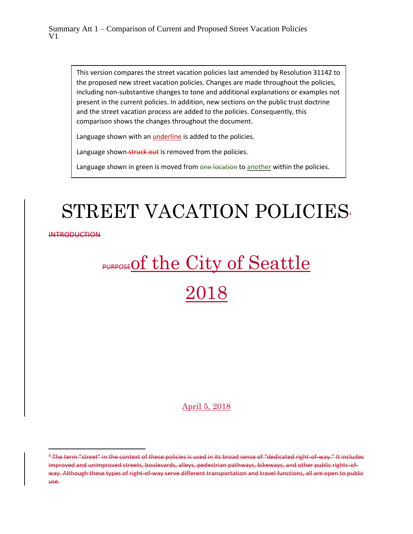This version compares the street vacation policies last amended by Resolution 31142 to the proposed new street vacation policies. Changes are made throughout the policies, including non-substantive changes to tone and additional explanations or examples not present in the current policies. In addition, new sections on the public trust doctrine and the street vacation process are added to the policies. Consequently, this comparison shows the changes throughout the document.

Language shown with an *underline* is added to the policies.

Language shown-struck out is removed from the policies.

Language shown in green is moved from one location to another within the policies.

# STREET VACATION POLICIES<sup>.</sup>

**INTRODUCTION** 

 $\overline{a}$ 

# **PURPOSE Of the City of Seattle** 2018

# April 5, 2018

<sup>&</sup>lt;sup>4</sup> The term "street" in the context of these policies is used in its broad sense of "dedicated right-of-way." It includes improved and unimproved streets, boulevards, alleys, pedestrian pathways, bikeways, and other public rights-ofway. Although these types of right-of-way serve different transportation and travel functions, all are open to public use.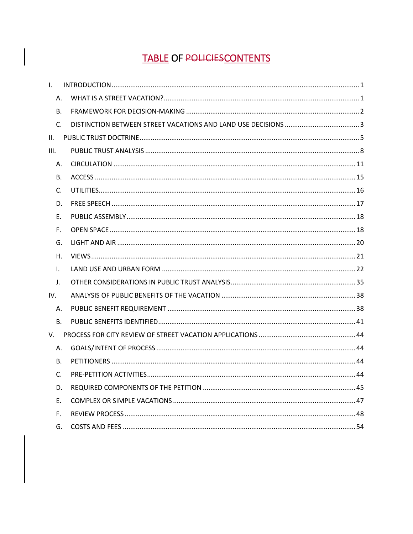# **TABLE OF POLICIESCONTENTS**

| $\mathbf{L}$   |  |
|----------------|--|
| Α.             |  |
| В.             |  |
| $C_{1}$        |  |
| Ш.             |  |
| III.           |  |
| А.             |  |
| В.             |  |
| $\mathsf{C}$ . |  |
| D.             |  |
| Е.             |  |
| F.             |  |
| G.             |  |
| Η.             |  |
| I.             |  |
| J.             |  |
| IV.            |  |
| А.             |  |
| <b>B.</b>      |  |
| V.             |  |
| А.             |  |
| B <sub>r</sub> |  |
| C.             |  |
| D.             |  |
| Ε.             |  |
| F.             |  |
| G.             |  |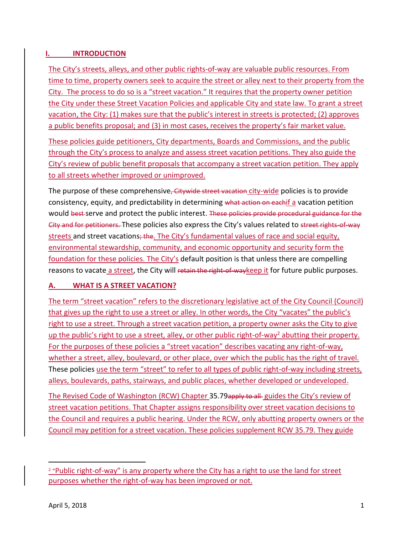# <span id="page-2-0"></span>**I. INTRODUCTION**

The City's streets, alleys, and other public rights-of-way are valuable public resources. From time to time, property owners seek to acquire the street or alley next to their property from the City. The process to do so is a "street vacation." It requires that the property owner petition the City under these Street Vacation Policies and applicable City and state law. To grant a street vacation, the City: (1) makes sure that the public's interest in streets is protected; (2) approves a public benefits proposal; and (3) in most cases, receives the property's fair market value.

These policies guide petitioners, City departments, Boards and Commissions, and the public through the City's process to analyze and assess street vacation petitions. They also guide the City's review of public benefit proposals that accompany a street vacation petition. They apply to all streets whether improved or unimproved.

The purpose of these comprehensive<del>, Citywide street vacation</del> city-wide policies is to provide consistency, equity, and predictability in determining what action on eachif a vacation petition would best serve and protect the public interest. These policies provide procedural guidance for the City and for petitioners. These policies also express the City's values related to street rights-of-way streets and street vacations; the. The City's fundamental values of race and social equity, environmental stewardship, community, and economic opportunity and security form the foundation for these policies. The City's default position is that unless there are compelling reasons to vacate a street, the City will retain the right-of-way keep it for future public purposes.

# <span id="page-2-1"></span>**A. WHAT IS A STREET VACATION?**

The term "street vacation" refers to the discretionary legislative act of the City Council (Council) that gives up the right to use a street or alley. In other words, the City "vacates" the public's right to use a street. Through a street vacation petition, a property owner asks the City to give up the public's right to use a street, alley, or other public right-of-way<sup>2</sup> abutting their property. For the purposes of these policies a "street vacation" describes vacating any right-of-way, whether a street, alley, boulevard, or other place, over which the public has the right of travel. These policies use the term "street" to refer to all types of public right-of-way including streets, alleys, boulevards, paths, stairways, and public places, whether developed or undeveloped. The Revised Code of Washington (RCW) Chapter [35.79](http://app.leg.wa.gov/rcw/default.aspx?cite=35.79)apply to all guides the City's review of street vacation petitions. That Chapter assigns responsibility over street vacation decisions to

the Council and requires a public hearing. Under the RCW, only abutting property owners or the Council may petition for a street vacation. These policies supplement RCW 35.79. They guide

 $\overline{a}$ 

<sup>&</sup>lt;sup>2</sup> "Public right-of-way" is any property where the City has a right to use the land for street purposes whether the right-of-way has been improved or not.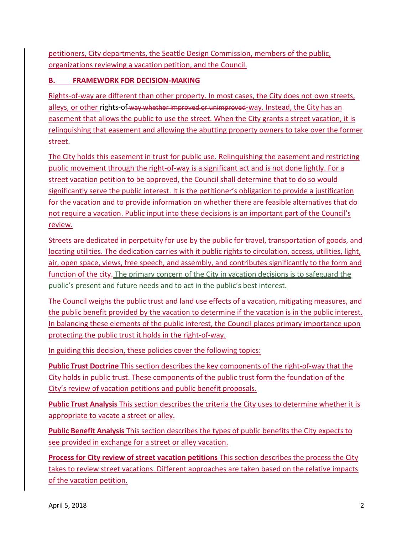petitioners, City departments, the Seattle Design Commission, members of the public, organizations reviewing a vacation petition, and the Council.

# <span id="page-3-0"></span>**B. FRAMEWORK FOR DECISION-MAKING**

Rights-of-way are different than other property. In most cases, the City does not own streets, alleys, or other rights-of-way whether improved or unimproved-way. Instead, the City has an easement that allows the public to use the street. When the City grants a street vacation, it is relinquishing that easement and allowing the abutting property owners to take over the former street.

The City holds this easement in trust for public use. Relinquishing the easement and restricting public movement through the right-of-way is a significant act and is not done lightly. For a street vacation petition to be approved, the Council shall determine that to do so would significantly serve the public interest. It is the petitioner's obligation to provide a justification for the vacation and to provide information on whether there are feasible alternatives that do not require a vacation. Public input into these decisions is an important part of the Council's review.

Streets are dedicated in perpetuity for use by the public for travel, transportation of goods, and locating utilities. The dedication carries with it public rights to circulation, access, utilities, light, air, open space, views, free speech, and assembly, and contributes significantly to the form and function of the city. The primary concern of the City in vacation decisions is to safeguard the public's present and future needs and to act in the public's best interest.

The Council weighs the public trust and land use effects of a vacation, mitigating measures, and the public benefit provided by the vacation to determine if the vacation is in the public interest. In balancing these elements of the public interest, the Council places primary importance upon protecting the public trust it holds in the right-of-way.

In guiding this decision, these policies cover the following topics:

**Public Trust Doctrine** This section describes the key components of the right-of-way that the City holds in public trust. These components of the public trust form the foundation of the City's review of vacation petitions and public benefit proposals.

**Public Trust Analysis** This section describes the criteria the City uses to determine whether it is appropriate to vacate a street or alley.

**Public Benefit Analysis** This section describes the types of public benefits the City expects to see provided in exchange for a street or alley vacation.

**Process for City review of street vacation petitions** This section describes the process the City takes to review street vacations. Different approaches are taken based on the relative impacts of the vacation petition.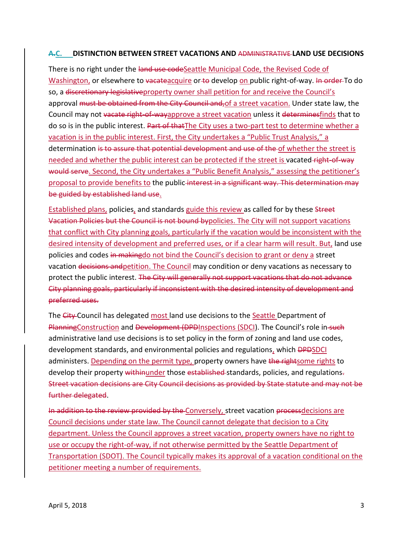#### <span id="page-4-0"></span>**A.C. DISTINCTION BETWEEN STREET VACATIONS AND** ADMINISTRATIVE **LAND USE DECISIONS**

There is no right under the land use codeSeattle Municipal Code, the Revised Code of Washington, or elsewhere to vacateacquire or to develop on public right-of-way. In order To do so, a discretionary legislative property owner shall petition for and receive the Council's approval must be obtained from the City Council and, of a street vacation. Under state law, the Council may not vacate right-of-wayapprove a street vacation unless it determinesfinds that to do so is in the public interest. Part of that The City uses a two-part test to determine whether a vacation is in the public interest. First, the City undertakes a "Public Trust Analysis," a determination is to assure that potential development and use of the of whether the street is needed and whether the public interest can be protected if the street is vacated right-of-way would serve. Second, the City undertakes a "Public Benefit Analysis," assessing the petitioner's proposal to provide benefits to the public-interest in a significant way. This determination may be guided by established land use.

Established plans, policies, and standards guide this review as called for by these Street Vacation Policies but the Council is not bound bypolicies. The City will not support vacations that conflict with City planning goals, particularly if the vacation would be inconsistent with the desired intensity of development and preferred uses, or if a clear harm will result. But, land use policies and codes in makingdo not bind the Council's decision to grant or deny a street vacation decisions andpetition. The Council may condition or deny vacations as necessary to protect the public interest. The City will generally not support vacations that do not advance City planning goals, particularly if inconsistent with the desired intensity of development and preferred uses.

The City Council has delegated most land use decisions to the Seattle Department of PlanningConstruction and Development (DPDInspections (SDCI). The Council's role in-such administrative land use decisions is to set policy in the form of zoning and land use codes, development standards, and environmental policies and regulations, which <del>DPD</del>SDCI administers. Depending on the permit type, property owners have the rightsome rights to develop their property withinunder those established-standards, policies, and regulations. Street vacation decisions are City Council decisions as provided by State statute and may not be further delegated.

In addition to the review provided by the Conversely, street vacation processdecisions are Council decisions under state law. The Council cannot delegate that decision to a City department. Unless the Council approves a street vacation, property owners have no right to use or occupy the right-of-way, if not otherwise permitted by the Seattle Department of Transportation (SDOT). The Council typically makes its approval of a vacation conditional on the petitioner meeting a number of requirements.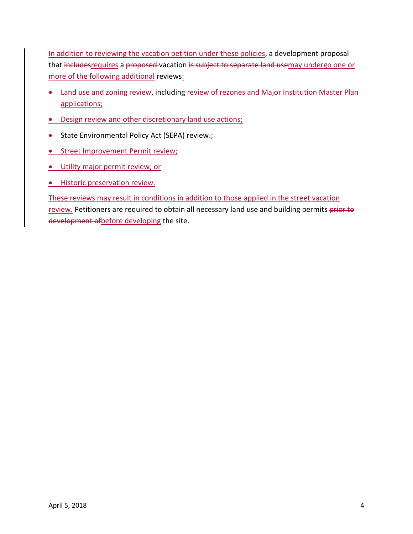In addition to reviewing the vacation petition under these policies, a development proposal that includesrequires a proposed vacation is subject to separate land usemay undergo one or more of the following additional reviews:

- Land use and zoning review, including review of rezones and Major Institution Master Plan applications;
- Design review and other discretionary land use actions;
- **CEPA)** State Environmental Policy Act (SEPA) review-
- **.** Street Improvement Permit review;
- **.** Utility major permit review; or
- **•** Historic preservation review.

These reviews may result in conditions in addition to those applied in the street vacation review. Petitioners are required to obtain all necessary land use and building permits prior to development of before developing the site.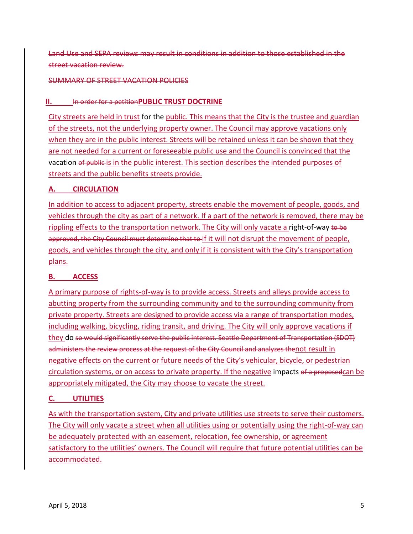Land Use and SEPA reviews may result in conditions in addition to those established in the street vacation review.

#### <span id="page-6-0"></span>SUMMARY OF STREET VACATION POLICIES

# **II.** In order for a petition **PUBLIC TRUST DOCTRINE**

City streets are held in trust for the public. This means that the City is the trustee and guardian of the streets, not the underlying property owner. The Council may approve vacations only when they are in the public interest. Streets will be retained unless it can be shown that they are not needed for a current or foreseeable public use and the Council is convinced that the vacation of public is in the public interest. This section describes the intended purposes of streets and the public benefits streets provide.

# **A. CIRCULATION**

In addition to access to adjacent property, streets enable the movement of people, goods, and vehicles through the city as part of a network. If a part of the network is removed, there may be rippling effects to the transportation network. The City will only vacate a right-of-way to be approved, the City Council must determine that to if it will not disrupt the movement of people, goods, and vehicles through the city, and only if it is consistent with the City's transportation plans.

# **B. ACCESS**

A primary purpose of rights-of-way is to provide access. Streets and alleys provide access to abutting property from the surrounding community and to the surrounding community from private property. Streets are designed to provide access via a range of transportation modes, including walking, bicycling, riding transit, and driving. The City will only approve vacations if they do so would significantly serve the public interest. Seattle Department of Transportation (SDOT) administers the review process at the request of the City Council and analyzes thenot result in negative effects on the current or future needs of the City's vehicular, bicycle, or pedestrian circulation systems, or on access to private property. If the negative impacts of a proposedcan be appropriately mitigated, the City may choose to vacate the street.

# **C. UTILITIES**

As with the transportation system, City and private utilities use streets to serve their customers. The City will only vacate a street when all utilities using or potentially using the right-of-way can be adequately protected with an easement, relocation, fee ownership, or agreement satisfactory to the utilities' owners. The Council will require that future potential utilities can be accommodated.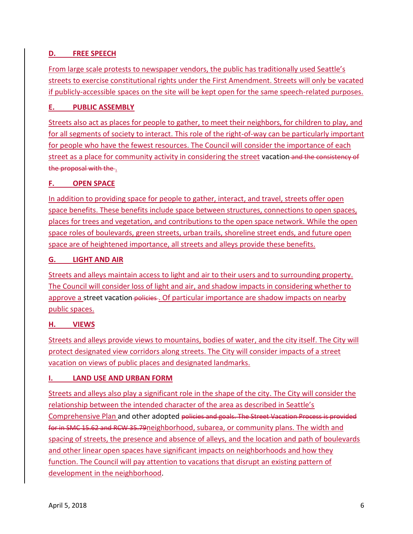# **D. FREE SPEECH**

From large scale protests to newspaper vendors, the public has traditionally used Seattle's streets to exercise constitutional rights under the First Amendment. Streets will only be vacated if publicly-accessible spaces on the site will be kept open for the same speech-related purposes.

# **E. PUBLIC ASSEMBLY**

Streets also act as places for people to gather, to meet their neighbors, for children to play, and for all segments of society to interact. This role of the right-of-way can be particularly important for people who have the fewest resources. The Council will consider the importance of each street as a place for community activity in considering the street vacation-and the consistency of the proposal with the .

# **F. OPEN SPACE**

In addition to providing space for people to gather, interact, and travel, streets offer open space benefits. These benefits include space between structures, connections to open spaces, places for trees and vegetation, and contributions to the open space network. While the open space roles of boulevards, green streets, urban trails, shoreline street ends, and future open space are of heightened importance, all streets and alleys provide these benefits.

# **G. LIGHT AND AIR**

Streets and alleys maintain access to light and air to their users and to surrounding property. The Council will consider loss of light and air, and shadow impacts in considering whether to approve a street vacation-policies. Of particular importance are shadow impacts on nearby public spaces.

# **H. VIEWS**

Streets and alleys provide views to mountains, bodies of water, and the city itself. The City will protect designated view corridors along streets. The City will consider impacts of a street vacation on views of public places and designated landmarks.

# **I. LAND USE AND URBAN FORM**

Streets and alleys also play a significant role in the shape of the city. The City will consider the relationship between the intended character of the area as described in Seattle's Comprehensive Plan and other adopted policies and goals. The Street Vacation Process is provided for in SMC 15.62 and RCW 35.79neighborhood, subarea, or community plans. The width and spacing of streets, the presence and absence of alleys, and the location and path of boulevards and other linear open spaces have significant impacts on neighborhoods and how they function. The Council will pay attention to vacations that disrupt an existing pattern of development in the neighborhood.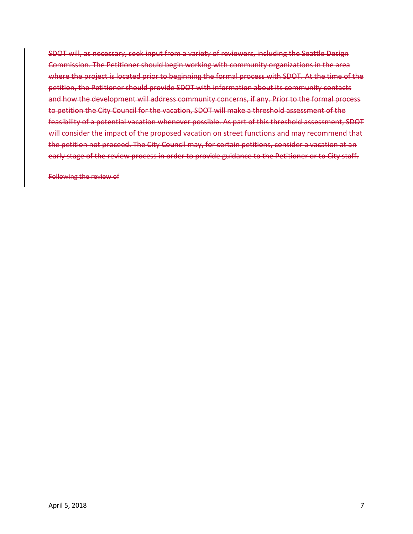SDOT will, as necessary, seek input from a variety of reviewers, including the Seattle Design Commission. The Petitioner should begin working with community organizations in the area where the project is located prior to beginning the formal process with SDOT. At the time of the petition, the Petitioner should provide SDOT with information about its community contacts and how the development will address community concerns, if any. Prior to the formal process to petition the City Council for the vacation, SDOT will make a threshold assessment of the feasibility of a potential vacation whenever possible. As part of this threshold assessment, SDOT will consider the impact of the proposed vacation on street functions and may recommend that the petition not proceed. The City Council may, for certain petitions, consider a vacation at an early stage of the review process in order to provide guidance to the Petitioner or to City staff.

Following the review of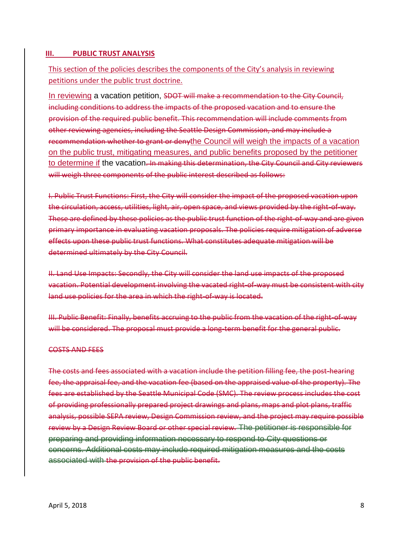#### <span id="page-9-0"></span>**III. PUBLIC TRUST ANALYSIS**

# This section of the policies describes the components of the City's analysis in reviewing petitions under the public trust doctrine.

In reviewing a vacation petition, SDOT will make a recommendation to the City Council, including conditions to address the impacts of the proposed vacation and to ensure the provision of the required public benefit. This recommendation will include comments from other reviewing agencies, including the Seattle Design Commission, and may include a recommendation whether to grant or denythe Council will weigh the impacts of a vacation on the public trust, mitigating measures, and public benefits proposed by the petitioner to determine if the vacation. In making this determination, the City Council and City reviewers will weigh three components of the public interest described as follows:

I. Public Trust Functions: First, the City will consider the impact of the proposed vacation upon the circulation, access, utilities, light, air, open space, and views provided by the right-of-way. These are defined by these policies as the public trust function of the right-of-way and are given primary importance in evaluating vacation proposals. The policies require mitigation of adverse effects upon these public trust functions. What constitutes adequate mitigation will be determined ultimately by the City Council.

II. Land Use Impacts: Secondly, the City will consider the land use impacts of the proposed vacation. Potential development involving the vacated right-of-way must be consistent with city land use policies for the area in which the right-of-way is located.

III. Public Benefit: Finally, benefits accruing to the public from the vacation of the right-of-way will be considered. The proposal must provide a long-term benefit for the general public.

#### COSTS AND FEES

The costs and fees associated with a vacation include the petition filling fee, the post-hearing fee, the appraisal fee, and the vacation fee (based on the appraised value of the property). The fees are established by the Seattle Municipal Code (SMC). The review process includes the cost of providing professionally prepared project drawings and plans, maps and plot plans, traffic analysis, possible SEPA review, Design Commission review, and the project may require possible review by a Design Review Board or other special review. The petitioner is responsible for preparing and providing information necessary to respond to City questions or concerns. Additional costs may include required mitigation measures and the costs associated with the provision of the public benefit.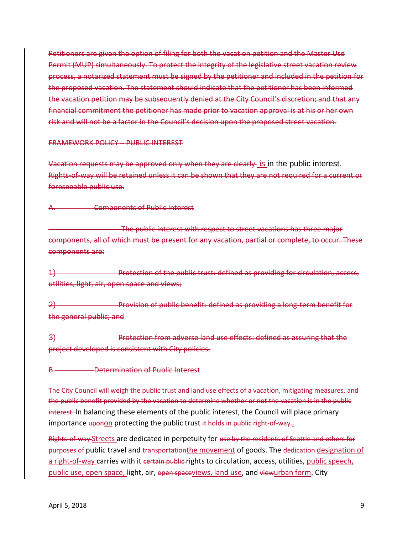Petitioners are given the option of filing for both the vacation petition and the Master Use Permit (MUP) simultaneously. To protect the integrity of the legislative street vacation review process, a notarized statement must be signed by the petitioner and included in the petition for the proposed vacation. The statement should indicate that the petitioner has been informed the vacation petition may be subsequently denied at the City Council's discretion; and that any financial commitment the petitioner has made prior to vacation approval is at his or her own risk and will not be a factor in the Council's decision upon the proposed street vacation.

FRAMEWORK POLICY – PUBLIC INTEREST

Vacation requests may be approved only when they are clearly is in the public interest. Rights-of-way will be retained unless it can be shown that they are not required for a current or foreseeable public use.

**Components of Public Interest** 

The public interest with respect to street vacations has three major components, all of which must be present for any vacation, partial or complete, to occur. These components are:

1) Protection of the public trust: defined as providing for circulation, access, utilities, light, air, open space and views;

2) Provision of public benefit: defined as providing a long-term benefit for the general public; and

3) Protection from adverse land use effects: defined as assuring that the project developed is consistent with City policies.

**Determination of Public Interest** 

The City Council will weigh the public trust and land use effects of a vacation, mitigating measures, and the public benefit provided by the vacation to determine whether or not the vacation is in the public interest. In balancing these elements of the public interest, the Council will place primary importance uponon protecting the public trust it holds in public right-of-way..

Rights-of-way Streets are dedicated in perpetuity for use by the residents of Seattle and others for purposes of public travel and transportation the movement of goods. The dedication designation of a right-of-way carries with it eertain public rights to circulation, access, utilities, public speech, public use, open space, light, air, open spaceviews, land use, and viewurban form. City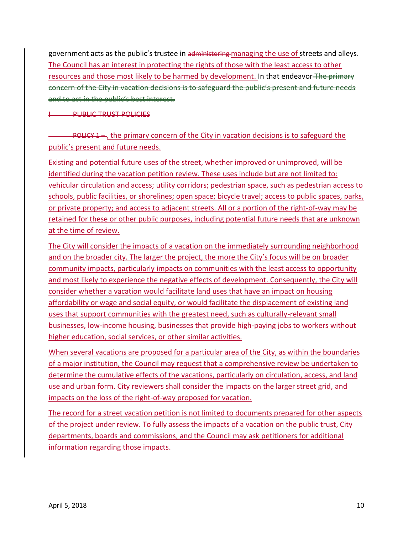government acts as the public's trustee in administering managing the use of streets and alleys. The Council has an interest in protecting the rights of those with the least access to other resources and those most likely to be harmed by development. In that endeavor The primary concern of the City in vacation decisions is to safeguard the public's present and future needs and to act in the public's best interest.

**PUBLIC TRUST POLICIES** 

**POLICY 1** –, the primary concern of the City in vacation decisions is to safeguard the public's present and future needs.

Existing and potential future uses of the street, whether improved or unimproved, will be identified during the vacation petition review. These uses include but are not limited to: vehicular circulation and access; utility corridors; pedestrian space, such as pedestrian access to schools, public facilities, or shorelines; open space; bicycle travel; access to public spaces, parks, or private property; and access to adjacent streets. All or a portion of the right-of-way may be retained for these or other public purposes, including potential future needs that are unknown at the time of review.

The City will consider the impacts of a vacation on the immediately surrounding neighborhood and on the broader city. The larger the project, the more the City's focus will be on broader community impacts, particularly impacts on communities with the least access to opportunity and most likely to experience the negative effects of development. Consequently, the City will consider whether a vacation would facilitate land uses that have an impact on housing affordability or wage and social equity, or would facilitate the displacement of existing land uses that support communities with the greatest need, such as culturally-relevant small businesses, low-income housing, businesses that provide high-paying jobs to workers without higher education, social services, or other similar activities.

When several vacations are proposed for a particular area of the City, as within the boundaries of a major institution, the Council may request that a comprehensive review be undertaken to determine the cumulative effects of the vacations, particularly on circulation, access, and land use and urban form. City reviewers shall consider the impacts on the larger street grid, and impacts on the loss of the right-of-way proposed for vacation.

The record for a street vacation petition is not limited to documents prepared for other aspects of the project under review. To fully assess the impacts of a vacation on the public trust, City departments, boards and commissions, and the Council may ask petitioners for additional information regarding those impacts.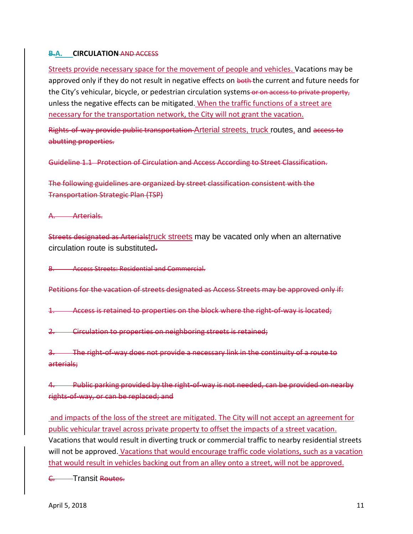# <span id="page-12-0"></span>**B.A. CIRCULATION** AND ACCESS

Streets provide necessary space for the movement of people and vehicles. Vacations may be approved only if they do not result in negative effects on both the current and future needs for the City's vehicular, bicycle, or pedestrian circulation systems or on access to private property, unless the negative effects can be mitigated. When the traffic functions of a street are necessary for the transportation network, the City will not grant the vacation.

Rights-of-way provide public transportation-Arterial streets, truck routes, and access to abutting properties.

Guideline 1.1 Protection of Circulation and Access According to Street Classification.

The following guidelines are organized by street classification consistent with the Transportation Strategic Plan (TSP)

A. Arterials.

Streets designated as Arterialstruck streets may be vacated only when an alternative circulation route is substituted.

B. Access Streets: Residential and Commercial.

Petitions for the vacation of streets designated as Access Streets may be approved only if:

1. Access is retained to properties on the block where the right-of-way is located;

2. Circulation to properties on neighboring streets is retained;

3. The right-of-way does not provide a necessary link in the continuity of a route to arterials;

4. Public parking provided by the right-of-way is not needed, can be provided on nearby rights-of-way, or can be replaced; and

and impacts of the loss of the street are mitigated. The City will not accept an agreement for public vehicular travel across private property to offset the impacts of a street vacation. Vacations that would result in diverting truck or commercial traffic to nearby residential streets will not be approved. Vacations that would encourage traffic code violations, such as a vacation that would result in vehicles backing out from an alley onto a street, will not be approved.

<sup>-</sup>Transit Routes.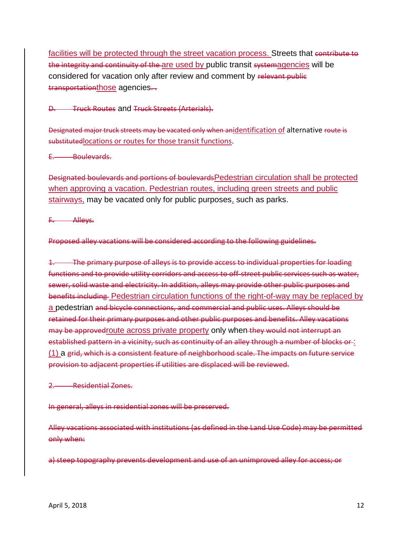facilities will be protected through the street vacation process. Streets that contribute to the integrity and continuity of the are used by public transit systemagencies will be considered for vacation only after review and comment by relevant public transportationthose agencies...

D. Truck Routes and Truck Streets (Arterials).

Designated major truck streets may be vacated only when anidentification of alternative route is substituted locations or routes for those transit functions.

E. Boulevards.

Designated boulevards and portions of boulevardsPedestrian circulation shall be protected when approving a vacation. Pedestrian routes, including green streets and public stairways, may be vacated only for public purposes, such as parks.

F. Alleys.

Proposed alley vacations will be considered according to the following guidelines.

1. The primary purpose of alleys is to provide access to individual properties for loading functions and to provide utility corridors and access to off-street public services such as water, sewer, solid waste and electricity. In addition, alleys may provide other public purposes and benefits including Pedestrian circulation functions of the right-of-way may be replaced by a pedestrian and bicycle connections, and commercial and public uses. Alleys should be retained for their primary purposes and other public purposes and benefits. Alley vacations may be approvedroute across private property only when they would not interrupt an established pattern in a vicinity, such as continuity of an alley through a number of blocks or : (1) a grid, which is a consistent feature of neighborhood scale. The impacts on future service provision to adjacent properties if utilities are displaced will be reviewed.

2. Residential Zones.

In general, alleys in residential zones will be preserved.

Alley vacations associated with institutions (as defined in the Land Use Code) may be permitted only when:

a) steep topography prevents development and use of an unimproved alley for access; or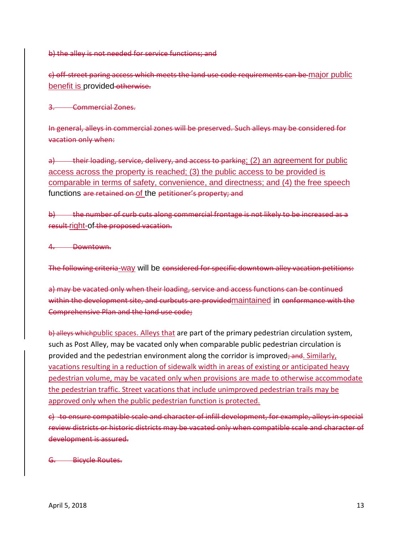b) the alley is not needed for service functions; and

c) off-street paring access which meets the land use code requirements can be major public benefit is provided-otherwise.

3. Commercial Zones.

In general, alleys in commercial zones will be preserved. Such alleys may be considered for vacation only when:

a) their loading, service, delivery, and access to parking; (2) an agreement for public access across the property is reached; (3) the public access to be provided is comparable in terms of safety, convenience, and directness; and (4) the free speech functions are retained on of the petitioner's property; and

b) the number of curb cuts along commercial frontage is not likely to be increased as a result right-of the proposed vacation.

4. Downtown.

The following criteria-way will be considered for specific downtown alley vacation petitions:

a) may be vacated only when their loading, service and access functions can be continued within the development site, and curbcuts are provided maintained in conformance with the Comprehensive Plan and the land use code;

b) alleys which public spaces. Alleys that are part of the primary pedestrian circulation system, such as Post Alley, may be vacated only when comparable public pedestrian circulation is provided and the pedestrian environment along the corridor is improved; and. Similarly, vacations resulting in a reduction of sidewalk width in areas of existing or anticipated heavy pedestrian volume, may be vacated only when provisions are made to otherwise accommodate the pedestrian traffic. Street vacations that include unimproved pedestrian trails may be approved only when the public pedestrian function is protected.

c) to ensure compatible scale and character of infill development, for example, alleys in special review districts or historic districts may be vacated only when compatible scale and character of development is assured.

G. Bicycle Routes.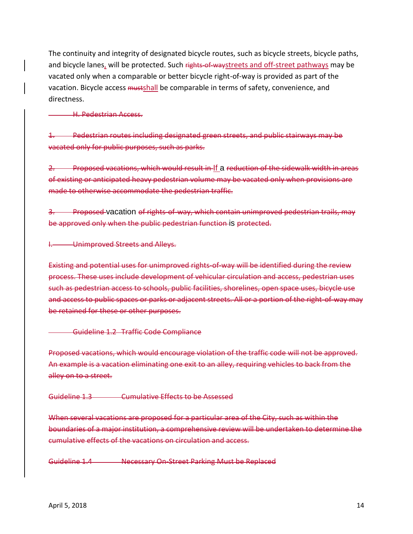The continuity and integrity of designated bicycle routes, such as bicycle streets, bicycle paths, and bicycle lanes, will be protected. Such rights-of-waystreets and off-street pathways may be vacated only when a comparable or better bicycle right-of-way is provided as part of the vacation. Bicycle access mustshall be comparable in terms of safety, convenience, and directness.

#### H. Pedestrian Access.

1. Pedestrian routes including designated green streets, and public stairways may be vacated only for public purposes, such as parks.

2. Proposed vacations, which would result in If a reduction of the sidewalk width in areas of existing or anticipated heavy pedestrian volume may be vacated only when provisions are made to otherwise accommodate the pedestrian traffic.

**Proposed vacation of rights-of-way, which contain unimproved pedestrian trails, may** be approved only when the public pedestrian function is protected.

I. Unimproved Streets and Alleys.

Existing and potential uses for unimproved rights-of-way will be identified during the review process. These uses include development of vehicular circulation and access, pedestrian uses such as pedestrian access to schools, public facilities, shorelines, open space uses, bicycle use and access to public spaces or parks or adjacent streets. All or a portion of the right-of-way may be retained for these or other purposes.

#### Guideline 1.2 Traffic Code Compliance

Proposed vacations, which would encourage violation of the traffic code will not be approved. An example is a vacation eliminating one exit to an alley, requiring vehicles to back from the alley on to a street.

Guideline 1.3 Cumulative Effects to be Assessed

When several vacations are proposed for a particular area of the City, such as within the boundaries of a major institution, a comprehensive review will be undertaken to determine the cumulative effects of the vacations on circulation and access.

Guideline 1.4 Necessary On-Street Parking Must be Replaced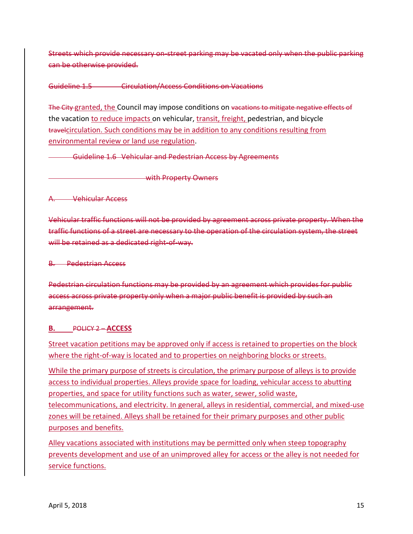Streets which provide necessary on-street parking may be vacated only when the public parking can be otherwise provided.

#### Guideline 1.5 Circulation/Access Conditions on Vacations

The City granted, the Council may impose conditions on vacations to mitigate negative effects of the vacation to reduce impacts on vehicular, transit, freight, pedestrian, and bicycle travelcirculation. Such conditions may be in addition to any conditions resulting from environmental review or land use regulation.

<span id="page-16-0"></span>Guideline 1.6 Vehicular and Pedestrian Access by Agreements

with Property Owners

A. Vehicular Access

Vehicular traffic functions will not be provided by agreement across private property. When the traffic functions of a street are necessary to the operation of the circulation system, the street will be retained as a dedicated right-of-way.

B. Pedestrian Access

Pedestrian circulation functions may be provided by an agreement which provides for public access across private property only when a major public benefit is provided by such an arrangement.

#### **B.** POLICY 2 – **ACCESS**

Street vacation petitions may be approved only if access is retained to properties on the block where the right-of-way is located and to properties on neighboring blocks or streets.

While the primary purpose of streets is circulation, the primary purpose of alleys is to provide access to individual properties. Alleys provide space for loading, vehicular access to abutting properties, and space for utility functions such as water, sewer, solid waste, telecommunications, and electricity. In general, alleys in residential, commercial, and mixed-use zones will be retained. Alleys shall be retained for their primary purposes and other public purposes and benefits.

Alley vacations associated with institutions may be permitted only when steep topography prevents development and use of an unimproved alley for access or the alley is not needed for service functions.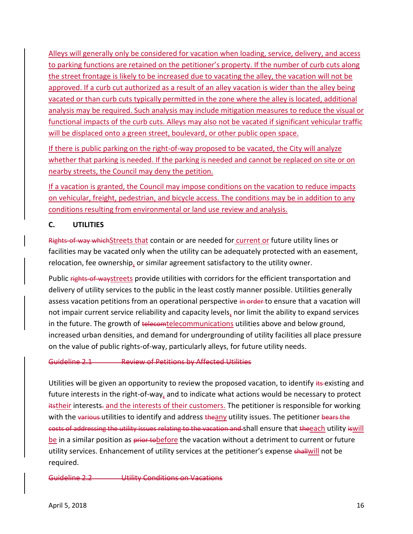Alleys will generally only be considered for vacation when loading, service, delivery, and access to parking functions are retained on the petitioner's property. If the number of curb cuts along the street frontage is likely to be increased due to vacating the alley, the vacation will not be approved. If a curb cut authorized as a result of an alley vacation is wider than the alley being vacated or than curb cuts typically permitted in the zone where the alley is located, additional analysis may be required. Such analysis may include mitigation measures to reduce the visual or functional impacts of the curb cuts. Alleys may also not be vacated if significant vehicular traffic will be displaced onto a green street, boulevard, or other public open space.

If there is public parking on the right-of-way proposed to be vacated, the City will analyze whether that parking is needed. If the parking is needed and cannot be replaced on site or on nearby streets, the Council may deny the petition.

If a vacation is granted, the Council may impose conditions on the vacation to reduce impacts on vehicular, freight, pedestrian, and bicycle access. The conditions may be in addition to any conditions resulting from environmental or land use review and analysis.

# <span id="page-17-0"></span>**C. UTILITIES**

Rights-of-way which Streets that contain or are needed for current or future utility lines or facilities may be vacated only when the utility can be adequately protected with an easement, relocation, fee ownership, or similar agreement satisfactory to the utility owner.

Public rights-of-waystreets provide utilities with corridors for the efficient transportation and delivery of utility services to the public in the least costly manner possible. Utilities generally assess vacation petitions from an operational perspective in order to ensure that a vacation will not impair current service reliability and capacity levels, nor limit the ability to expand services in the future. The growth of telecomtelecommunications utilities above and below ground, increased urban densities, and demand for undergrounding of utility facilities all place pressure on the value of public rights-of-way, particularly alleys, for future utility needs.

#### Guideline 2.1 Review of Petitions by Affected Utilities

Utilities will be given an opportunity to review the proposed vacation, to identify its existing and future interests in the right-of-way, and to indicate what actions would be necessary to protect itstheir interests<sub>r</sub> and the interests of their customers. The petitioner is responsible for working with the various utilities to identify and address theany utility issues. The petitioner bears the costs of addressing the utility issues relating to the vacation and shall ensure that theeach utility iswill be in a similar position as prior to be fore the vacation without a detriment to current or future utility services. Enhancement of utility services at the petitioner's expense shallwill not be required.

Guideline 2.2 Utility Conditions on Vacations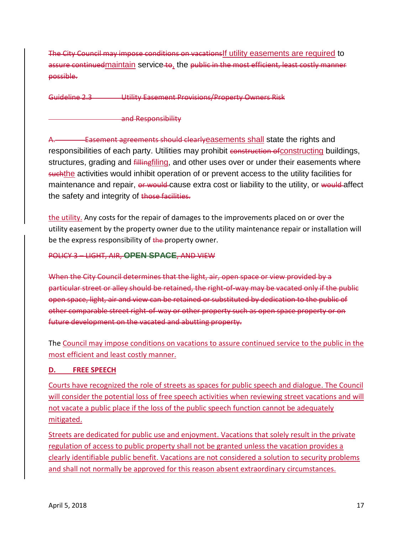The City Council may impose conditions on vacationsIf utility easements are required to assure continued maintain service to, the public in the most efficient, least costly manner possible.

Guideline 2.3 Utility Easement Provisions/Property Owners Risk

and Responsibility

A. Easement agreements should clearlyeasements shall state the rights and responsibilities of each party. Utilities may prohibit construction of constructing buildings, structures, grading and *fillingfiling*, and other uses over or under their easements where suchthe activities would inhibit operation of or prevent access to the utility facilities for maintenance and repair, or would-cause extra cost or liability to the utility, or would affect the safety and integrity of those facilities.

the utility. Any costs for the repair of damages to the improvements placed on or over the utility easement by the property owner due to the utility maintenance repair or installation will be the express responsibility of the property owner.

POLICY 3 – LIGHT, AIR, **OPEN SPACE**, AND VIEW

When the City Council determines that the light, air, open space or view provided by a particular street or alley should be retained, the right-of-way may be vacated only if the public open space, light, air and view can be retained or substituted by dedication to the public of other comparable street right-of-way or other property such as open space property or on future development on the vacated and abutting property.

The Council may impose conditions on vacations to assure continued service to the public in the most efficient and least costly manner.

#### <span id="page-18-0"></span>**D. FREE SPEECH**

Courts have recognized the role of streets as spaces for public speech and dialogue. The Council will consider the potential loss of free speech activities when reviewing street vacations and will not vacate a public place if the loss of the public speech function cannot be adequately mitigated.

Streets are dedicated for public use and enjoyment. Vacations that solely result in the private regulation of access to public property shall not be granted unless the vacation provides a clearly identifiable public benefit. Vacations are not considered a solution to security problems and shall not normally be approved for this reason absent extraordinary circumstances.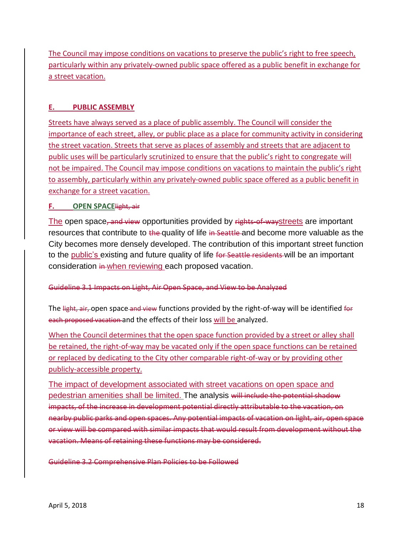The Council may impose conditions on vacations to preserve the public's right to free speech, particularly within any privately-owned public space offered as a public benefit in exchange for a street vacation.

# <span id="page-19-0"></span>**E. PUBLIC ASSEMBLY**

Streets have always served as a place of public assembly. The Council will consider the importance of each street, alley, or public place as a place for community activity in considering the street vacation. Streets that serve as places of assembly and streets that are adjacent to public uses will be particularly scrutinized to ensure that the public's right to congregate will not be impaired. The Council may impose conditions on vacations to maintain the public's right to assembly, particularly within any privately-owned public space offered as a public benefit in exchange for a street vacation.

# <span id="page-19-1"></span>**F. OPEN SPACE**light, air

The open space, and view opportunities provided by rights of waystreets are important resources that contribute to the quality of life in Seattle and become more valuable as the City becomes more densely developed. The contribution of this important street function to the public's existing and future quality of life for Seattle residents will be an important consideration in when reviewing each proposed vacation.

# Guideline 3.1 Impacts on Light, Air Open Space, and View to be Analyzed

The light, air, open space and view functions provided by the right-of-way will be identified for each proposed vacation and the effects of their loss will be analyzed.

When the Council determines that the open space function provided by a street or alley shall be retained, the right-of-way may be vacated only if the open space functions can be retained or replaced by dedicating to the City other comparable right-of-way or by providing other publicly-accessible property.

The impact of development associated with street vacations on open space and pedestrian amenities shall be limited. The analysis will include the potential shadow impacts, of the increase in development potential directly attributable to the vacation, on nearby public parks and open spaces. Any potential impacts of vacation on light, air, open space or view will be compared with similar impacts that would result from development without the vacation. Means of retaining these functions may be considered.

Guideline 3.2 Comprehensive Plan Policies to be Followed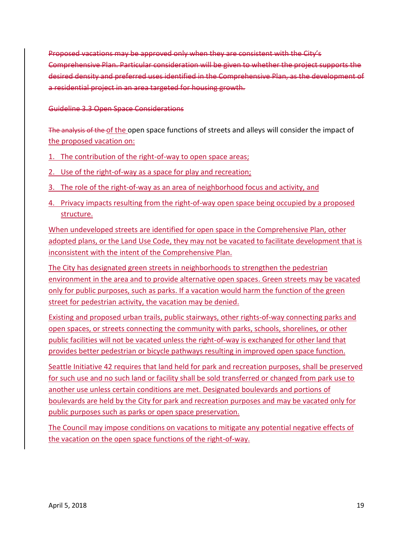Proposed vacations may be approved only when they are consistent with the City's Comprehensive Plan. Particular consideration will be given to whether the project supports the desired density and preferred uses identified in the Comprehensive Plan, as the development of a residential project in an area targeted for housing growth.

#### Guideline 3.3 Open Space Considerations

The analysis of the of the open space functions of streets and alleys will consider the impact of the proposed vacation on:

- 1. The contribution of the right-of-way to open space areas;
- 2. Use of the right-of-way as a space for play and recreation;
- 3. The role of the right-of-way as an area of neighborhood focus and activity, and
- 4. Privacy impacts resulting from the right-of-way open space being occupied by a proposed structure.

When undeveloped streets are identified for open space in the Comprehensive Plan, other adopted plans, or the Land Use Code, they may not be vacated to facilitate development that is inconsistent with the intent of the Comprehensive Plan.

The City has designated green streets in neighborhoods to strengthen the pedestrian environment in the area and to provide alternative open spaces. Green streets may be vacated only for public purposes, such as parks. If a vacation would harm the function of the green street for pedestrian activity, the vacation may be denied.

Existing and proposed urban trails, public stairways, other rights-of-way connecting parks and open spaces, or streets connecting the community with parks, schools, shorelines, or other public facilities will not be vacated unless the right-of-way is exchanged for other land that provides better pedestrian or bicycle pathways resulting in improved open space function.

Seattle Initiative 42 requires that land held for park and recreation purposes, shall be preserved for such use and no such land or facility shall be sold transferred or changed from park use to another use unless certain conditions are met. Designated boulevards and portions of boulevards are held by the City for park and recreation purposes and may be vacated only for public purposes such as parks or open space preservation.

The Council may impose conditions on vacations to mitigate any potential negative effects of the vacation on the open space functions of the right-of-way.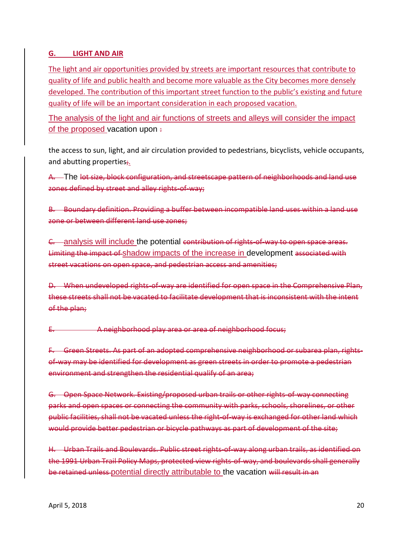# <span id="page-21-0"></span>**G. LIGHT AND AIR**

The light and air opportunities provided by streets are important resources that contribute to quality of life and public health and become more valuable as the City becomes more densely developed. The contribution of this important street function to the public's existing and future quality of life will be an important consideration in each proposed vacation.

The analysis of the light and air functions of streets and alleys will consider the impact of the proposed vacation upon:

the access to sun, light, and air circulation provided to pedestrians, bicyclists, vehicle occupants, and abutting properties;

A. The lot size, block configuration, and streetscape pattern of neighborhoods and land use zones defined by street and alley rights-of-way;

B. Boundary definition. Providing a buffer between incompatible land uses within a land use zone or between different land use zones;

C. analysis will include the potential contribution of rights-of-way to open space areas. Limiting the impact of shadow impacts of the increase in development associated with street vacations on open space, and pedestrian access and amenities;

D. When undeveloped rights-of-way are identified for open space in the Comprehensive Plan, these streets shall not be vacated to facilitate development that is inconsistent with the intent of the plan;

E. A neighborhood play area or area of neighborhood focus;

F. Green Streets. As part of an adopted comprehensive neighborhood or subarea plan, rightsof way may be identified for development as green streets in order to promote a pedestrian environment and strengthen the residential qualify of an area;

G. Open Space Network. Existing/proposed urban trails or other rights-of-way connecting parks and open spaces or connecting the community with parks, schools, shorelines, or other public facilities, shall not be vacated unless the right-of-way is exchanged for other land which would provide better pedestrian or bicycle pathways as part of development of the site;

H. Urban Trails and Boulevards. Public street rights-of-way along urban trails, as identified on the 1991 Urban Trail Policy Maps, protected view rights-of-way, and boulevards shall generally be retained unless potential directly attributable to the vacation will result in an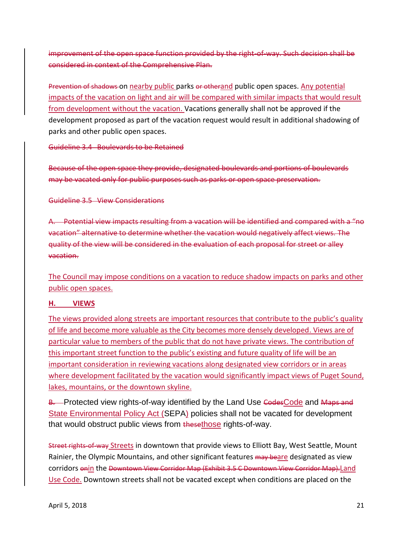improvement of the open space function provided by the right-of-way. Such decision shall be considered in context of the Comprehensive Plan.

Prevention of shadows on nearby public parks or otherand public open spaces. Any potential impacts of the vacation on light and air will be compared with similar impacts that would result from development without the vacation. Vacations generally shall not be approved if the development proposed as part of the vacation request would result in additional shadowing of parks and other public open spaces.

Guideline 3.4 Boulevards to be Retained

Because of the open space they provide, designated boulevards and portions of boulevards may be vacated only for public purposes such as parks or open space preservation.

Guideline 3.5 View Considerations

A. Potential view impacts resulting from a vacation will be identified and compared with a "no vacation" alternative to determine whether the vacation would negatively affect views. The quality of the view will be considered in the evaluation of each proposal for street or alley vacation.

The Council may impose conditions on a vacation to reduce shadow impacts on parks and other public open spaces.

#### <span id="page-22-0"></span>**H. VIEWS**

The views provided along streets are important resources that contribute to the public's quality of life and become more valuable as the City becomes more densely developed. Views are of particular value to members of the public that do not have private views. The contribution of this important street function to the public's existing and future quality of life will be an important consideration in reviewing vacations along designated view corridors or in areas where development facilitated by the vacation would significantly impact views of Puget Sound, lakes, mountains, or the downtown skyline.

B. Protected view rights-of-way identified by the Land Use CodesCode and Maps and State Environmental Policy Act (SEPA) policies shall not be vacated for development that would obstruct public views from thesethose rights-of-way.

Street rights-of-way Streets in downtown that provide views to Elliott Bay, West Seattle, Mount Rainier, the Olympic Mountains, and other significant features may beare designated as view corridors onin the Downtown View Corridor Map (Exhibit 3.5 C Downtown View Corridor Map).Land Use Code. Downtown streets shall not be vacated except when conditions are placed on the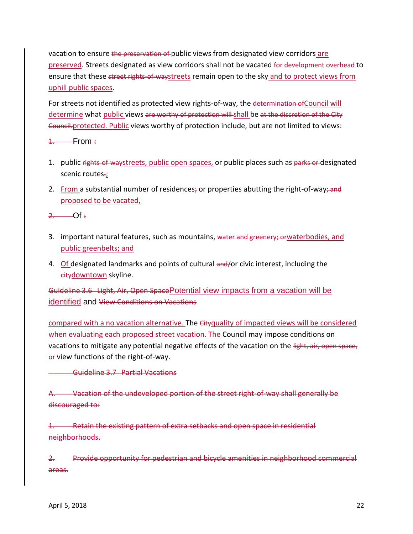vacation to ensure the preservation of public views from designated view corridors are preserved. Streets designated as view corridors shall not be vacated for development overhead to ensure that these street rights-of-waystreets remain open to the sky and to protect views from uphill public spaces.

For streets not identified as protected view rights-of-way, the determination ofCouncil will determine what public views are worthy of protection will shall be at the discretion of the City Council.protected. Public views worthy of protection include, but are not limited to views:

 $4.$  From  $\div$ 

- 1. public rights-of-waystreets, public open spaces, or public places such as parks or designated scenic routes-;
- 2. From a substantial number of residences; or properties abutting the right-of-way; and proposed to be vacated,

 $2$  Of :

- 3. important natural features, such as mountains, water and greenery; orwaterbodies, and public greenbelts; and
- 4. Of designated landmarks and points of cultural and/or civic interest, including the citydowntown skyline.

Guideline 3.6 Light, Air, Open SpacePotential view impacts from a vacation will be identified and View Conditions on Vacations

compared with a no vacation alternative. The Cityquality of impacted views will be considered when evaluating each proposed street vacation. The Council may impose conditions on vacations to mitigate any potential negative effects of the vacation on the light, air, open space, or-view functions of the right-of-way.

<span id="page-23-0"></span>Guideline 3.7 Partial Vacations

A. Vacation of the undeveloped portion of the street right-of-way shall generally be discouraged to:

1. Retain the existing pattern of extra setbacks and open space in residential neighborhoods.

2. Provide opportunity for pedestrian and bicycle amenities in neighborhood commercial areas.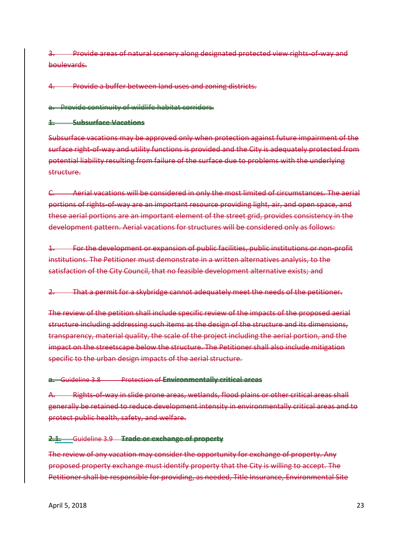3. Provide areas of natural scenery along designated protected view rights-of-way and boulevards.

4. Provide a buffer between land uses and zoning districts.

a. Provide continuity of wildlife habitat corridors.

#### **1. Subsurface Vacations**

Subsurface vacations may be approved only when protection against future impairment of the surface right-of-way and utility functions is provided and the City is adequately protected from potential liability resulting from failure of the surface due to problems with the underlying structure.

C. Aerial vacations will be considered in only the most limited of circumstances. The aerial portions of rights-of-way are an important resource providing light, air, and open space, and these aerial portions are an important element of the street grid, provides consistency in the development pattern. Aerial vacations for structures will be considered only as follows:

1. For the development or expansion of public facilities, public institutions or non-profit institutions. The Petitioner must demonstrate in a written alternatives analysis, to the satisfaction of the City Council, that no feasible development alternative exists; and

2. That a permit for a skybridge cannot adequately meet the needs of the petitioner.

The review of the petition shall include specific review of the impacts of the proposed aerial structure including addressing such items as the design of the structure and its dimensions, transparency, material quality, the scale of the project including the aerial portion, and the impact on the streetscape below the structure. The Petitioner shall also include mitigation specific to the urban design impacts of the aerial structure.

#### **a.** Guideline 3.8 Protection of **Environmentally critical areas**

A. Rights-of-way in slide prone areas, wetlands, flood plains or other critical areas shall generally be retained to reduce development intensity in environmentally critical areas and to protect public health, safety, and welfare.

#### **2.1.** Guideline 3.9 **Trade or exchange of property**

The review of any vacation may consider the opportunity for exchange of property. Any proposed property exchange must identify property that the City is willing to accept. The Petitioner shall be responsible for providing, as needed, Title Insurance, Environmental Site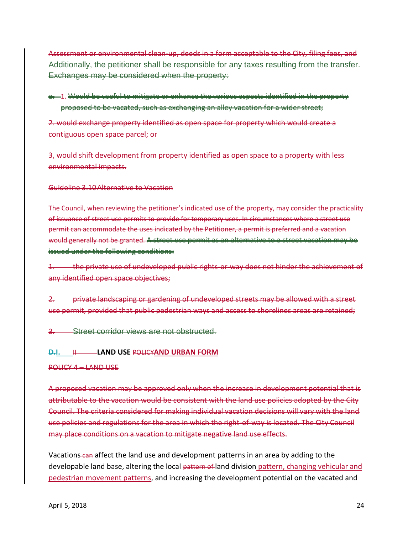Assessment or environmental clean-up, deeds in a form acceptable to the City, filing fees, and Additionally, the petitioner shall be responsible for any taxes resulting from the transfer. Exchanges may be considered when the property:

a. 1. Would be useful to mitigate or enhance the various aspects identified in the property proposed to be vacated, such as exchanging an alley vacation for a wider street;

2. would exchange property identified as open space for property which would create a contiguous open space parcel; or

3, would shift development from property identified as open space to a property with less environmental impacts.

Guideline 3.10Alternative to Vacation

The Council, when reviewing the petitioner's indicated use of the property, may consider the practicality of issuance of street use permits to provide for temporary uses. In circumstances where a street use permit can accommodate the uses indicated by the Petitioner, a permit is preferred and a vacation would generally not be granted. A street use permit as an alternative to a street vacation may be issued under the following conditions:

the private use of undeveloped public rights-or-way does not hinder the achievement of any identified open space objectives;

2. private landscaping or gardening of undeveloped streets may be allowed with a street use permit, provided that public pedestrian ways and access to shorelines areas are retained;

**Street corridor views are not obstructed.** 

**D.I.**  $\qquad \qquad \text{H}$  **LAND USE POLICYAND URBAN FORM** 

POLICY 4 – LAND USE

A proposed vacation may be approved only when the increase in development potential that is attributable to the vacation would be consistent with the land use policies adopted by the City Council. The criteria considered for making individual vacation decisions will vary with the land use policies and regulations for the area in which the right-of-way is located. The City Council may place conditions on a vacation to mitigate negative land use effects.

Vacations can affect the land use and development patterns in an area by adding to the developable land base, altering the local pattern of land division pattern, changing vehicular and pedestrian movement patterns, and increasing the development potential on the vacated and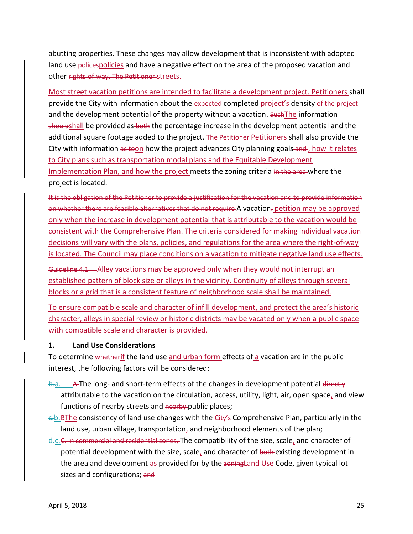abutting properties. These changes may allow development that is inconsistent with adopted land use policespolicies and have a negative effect on the area of the proposed vacation and other rights-of-way. The Petitioner streets.

Most street vacation petitions are intended to facilitate a development project. Petitioners shall provide the City with information about the expected completed project's density of the project and the development potential of the property without a vacation. Such The information shouldshall be provided as both the percentage increase in the development potential and the additional square footage added to the project. The Petitioner-Petitioners shall also provide the City with information as toon how the project advances City planning goals and , how it relates to City plans such as transportation modal plans and the Equitable Development Implementation Plan, and how the project meets the zoning criteria in the area where the project is located.

It is the obligation of the Petitioner to provide a justification for the vacation and to provide information on whether there are feasible alternatives that do not require A vacation. petition may be approved only when the increase in development potential that is attributable to the vacation would be consistent with the Comprehensive Plan. The criteria considered for making individual vacation decisions will vary with the plans, policies, and regulations for the area where the right-of-way is located. The Council may place conditions on a vacation to mitigate negative land use effects.

Guideline 4.1 Alley vacations may be approved only when they would not interrupt an established pattern of block size or alleys in the vicinity. Continuity of alleys through several blocks or a grid that is a consistent feature of neighborhood scale shall be maintained.

To ensure compatible scale and character of infill development, and protect the area's historic character, alleys in special review or historic districts may be vacated only when a public space with compatible scale and character is provided.

#### **1. Land Use Considerations**

To determine whetherif the land use and urban form effects of a vacation are in the public interest, the following factors will be considered:

- $\theta$ -a. A.The long- and short-term effects of the changes in development potential directly attributable to the vacation on the circulation, access, utility, light, air, open space, and view functions of nearby streets and nearby public places;
- c.b.BThe consistency of land use changes with the City's Comprehensive Plan, particularly in the land use, urban village, transportation, and neighborhood elements of the plan;
- d.c.C. In commercial and residential zones, The compatibility of the size, scale, and character of potential development with the size, scale, and character of both existing development in the area and development as provided for by the zoning Land Use Code, given typical lot sizes and configurations; and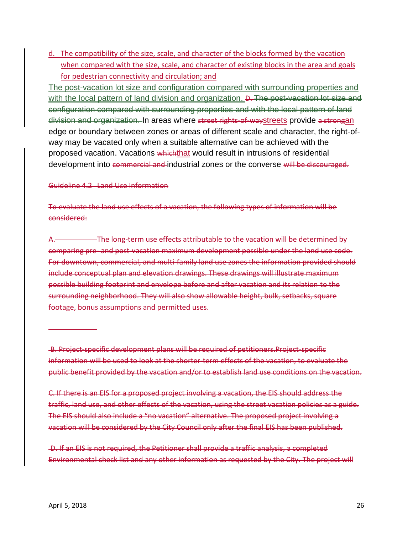d. The compatibility of the size, scale, and character of the blocks formed by the vacation when compared with the size, scale, and character of existing blocks in the area and goals for pedestrian connectivity and circulation; and

The post-vacation lot size and configuration compared with surrounding properties and with the local pattern of land division and organization. **D. The post-vacation lot size and** configuration compared with surrounding properties and with the local pattern of land division and organization. In areas where street rights of waystreets provide a strongan edge or boundary between zones or areas of different scale and character, the right-ofway may be vacated only when a suitable alternative can be achieved with the proposed vacation. Vacations whichthat would result in intrusions of residential development into commercial and industrial zones or the converse will be discouraged.

#### Guideline 4.2 Land Use Information

To evaluate the land use effects of a vacation, the following types of information will be considered:

A. The long-term use effects attributable to the vacation will be determined by comparing pre- and post-vacation maximum development possible under the land use code. For downtown, commercial, and multi-family land use zones the information provided should include conceptual plan and elevation drawings. These drawings will illustrate maximum possible building footprint and envelope before and after vacation and its relation to the surrounding neighborhood. They will also show allowable height, bulk, setbacks, square footage, bonus assumptions and permitted uses.

B. Project-specific development plans will be required of petitioners.Project-specific information will be used to look at the shorter-term effects of the vacation, to evaluate the public benefit provided by the vacation and/or to establish land use conditions on the vacation.

C. If there is an EIS for a proposed project involving a vacation, the EIS should address the traffic, land use, and other effects of the vacation, using the street vacation policies as a guide. The EIS should also include a "no vacation" alternative. The proposed project involving a vacation will be considered by the City Council only after the final EIS has been published.

D. If an EIS is not required, the Petitioner shall provide a traffic analysis, a completed Environmental check list and any other information as requested by the City. The project will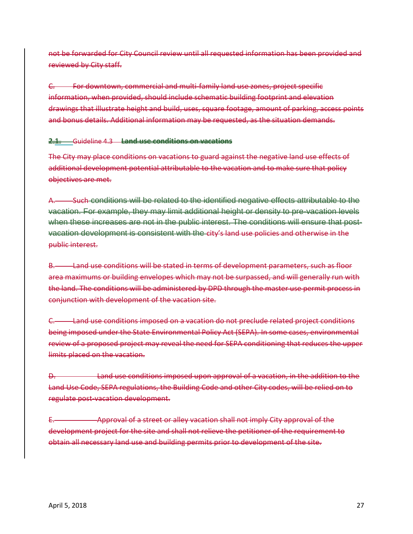not be forwarded for City Council review until all requested information has been provided and reviewed by City staff.

C. For downtown, commercial and multi-family land use zones, project specific information, when provided, should include schematic building footprint and elevation drawings that illustrate height and build, uses, square footage, amount of parking, access points and bonus details. Additional information may be requested, as the situation demands.

#### **2.1.** Guideline 4.3 **Land use conditions on vacations**

The City may place conditions on vacations to guard against the negative land use effects of additional development potential attributable to the vacation and to make sure that policy objectives are met.

A. Such conditions will be related to the identified negative effects attributable to the vacation. For example, they may limit additional height or density to pre-vacation levels when these increases are not in the public interest. The conditions will ensure that postvacation development is consistent with the city's land use policies and otherwise in the public interest.

B. Land use conditions will be stated in terms of development parameters, such as floor area maximums or building envelopes which may not be surpassed, and will generally run with the land. The conditions will be administered by DPD through the master use permit process in conjunction with development of the vacation site.

C. Land use conditions imposed on a vacation do not preclude related project conditions being imposed under the State Environmental Policy Act (SEPA). In some cases, environmental review of a proposed project may reveal the need for SEPA conditioning that reduces the upper limits placed on the vacation.

D. Land use conditions imposed upon approval of a vacation, in the addition to the Land Use Code, SEPA regulations, the Building Code and other City codes, will be relied on to regulate post-vacation development.

Approval of a street or alley vacation shall not imply City approval of the development project for the site and shall not relieve the petitioner of the requirement to obtain all necessary land use and building permits prior to development of the site.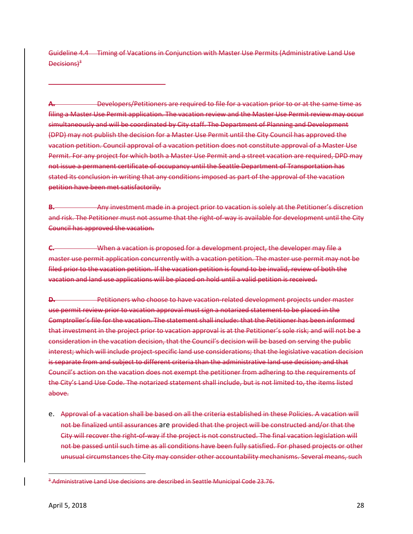Guideline 4.4 Timing of Vacations in Conjunction with Master Use Permits (Administrative Land Use Decisions)<sup>3</sup>

**A.** Developers/Petitioners are required to file for a vacation prior to or at the same time as filing a Master Use Permit application. The vacation review and the Master Use Permit review may occur simultaneously and will be coordinated by City staff. The Department of Planning and Development (DPD) may not publish the decision for a Master Use Permit until the City Council has approved the vacation petition. Council approval of a vacation petition does not constitute approval of a Master Use Permit. For any project for which both a Master Use Permit and a street vacation are required, DPD may not issue a permanent certificate of occupancy until the Seattle Department of Transportation has stated its conclusion in writing that any conditions imposed as part of the approval of the vacation petition have been met satisfactorily.

**B.** Any investment made in a project prior to vacation is solely at the Petitioner's discretion and risk. The Petitioner must not assume that the right-of-way is available for development until the City Council has approved the vacation.

**C.** When a vacation is proposed for a development project, the developer may file a master use permit application concurrently with a vacation petition. The master use permit may not be filed prior to the vacation petition. If the vacation petition is found to be invalid, review of both the vacation and land use applications will be placed on hold until a valid petition is received.

**D.** Petitioners who choose to have vacation-related development projects under master use permit review prior to vacation approval must sign a notarized statement to be placed in the Comptroller's file for the vacation. The statement shall include: that the Petitioner has been informed that investment in the project prior to vacation approval is at the Petitioner's sole risk; and will not be a consideration in the vacation decision, that the Council's decision will be based on serving the public interest; which will include project-specific land use considerations; that the legislative vacation decision is separate from and subject to different criteria than the administrative land use decision; and that Council's action on the vacation does not exempt the petitioner from adhering to the requirements of the City's Land Use Code. The notarized statement shall include, but is not limited to, the items listed above.

e. Approval of a vacation shall be based on all the criteria established in these Policies. A vacation will not be finalized until assurances are provided that the project will be constructed and/or that the City will recover the right-of-way if the project is not constructed. The final vacation legislation will not be passed until such time as all conditions have been fully satisfied. For phased projects or other unusual circumstances the City may consider other accountability mechanisms. Several means, such

 $\overline{\phantom{a}}$ 

<sup>&</sup>lt;sup>3</sup> Administrative Land Use decisions are described in Seattle Municipal Code 23.76.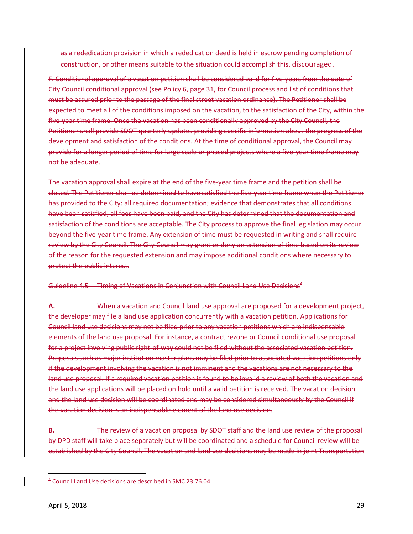as a rededication provision in which a rededication deed is held in escrow pending completion of construction, or other means suitable to the situation could accomplish this. discouraged.

F. Conditional approval of a vacation petition shall be considered valid for five-years from the date of City Council conditional approval (see Policy 6, page 31, for Council process and list of conditions that must be assured prior to the passage of the final street vacation ordinance). The Petitioner shall be expected to meet all of the conditions imposed on the vacation, to the satisfaction of the City, within the five-year time frame. Once the vacation has been conditionally approved by the City Council, the Petitioner shall provide SDOT quarterly updates providing specific information about the progress of the development and satisfaction of the conditions. At the time of conditional approval, the Council may provide for a longer period of time for large scale or phased projects where a five-year time frame may not be adequate.

The vacation approval shall expire at the end of the five-year time frame and the petition shall be closed. The Petitioner shall be determined to have satisfied the five-year time frame when the Petitioner has provided to the City: all required documentation; evidence that demonstrates that all conditions have been satisfied; all fees have been paid, and the City has determined that the documentation and satisfaction of the conditions are acceptable. The City process to approve the final legislation may occur beyond the five-year time frame. Any extension of time must be requested in writing and shall require review by the City Council. The City Council may grant or deny an extension of time based on its review of the reason for the requested extension and may impose additional conditions where necessary to protect the public interest.

#### Guideline 4.5 Timing of Vacations in Conjunction with Council Land Use Decisions<sup>4</sup>

**A.** When a vacation and Council land use approval are proposed for a development project, the developer may file a land use application concurrently with a vacation petition. Applications for Council land use decisions may not be filed prior to any vacation petitions which are indispensable elements of the land use proposal. For instance, a contract rezone or Council conditional use proposal for a project involving public right-of-way could not be filed without the associated vacation petition. Proposals such as major institution master plans may be filed prior to associated vacation petitions only if the development involving the vacation is not imminent and the vacations are not necessary to the land use proposal. If a required vacation petition is found to be invalid a review of both the vacation and the land use applications will be placed on hold until a valid petition is received. The vacation decision and the land use decision will be coordinated and may be considered simultaneously by the Council if the vacation decision is an indispensable element of the land use decision.

**B.** The review of a vacation proposal by SDOT staff and the land use review of the proposal by DPD staff will take place separately but will be coordinated and a schedule for Council review will be established by the City Council. The vacation and land use decisions may be made in joint Transportation

 $\overline{\phantom{a}}$ 

<sup>4</sup> Council Land Use decisions are described in SMC 23.76.04.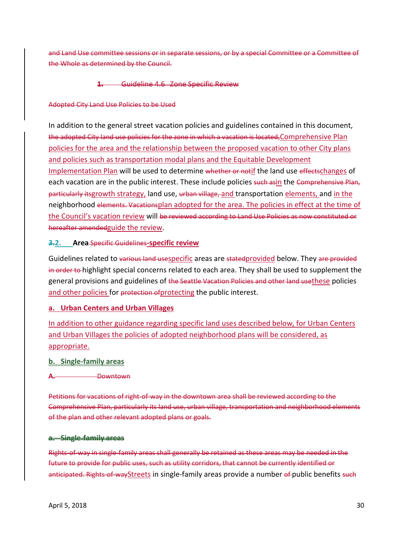and Land Use committee sessions or in separate sessions, or by a special Committee or a Committee of the Whole as determined by the Council.

#### **1.** Guideline 4.6 Zone Specific Review

#### Adopted City Land Use Policies to be Used

In addition to the general street vacation policies and guidelines contained in this document, the adopted City land use policies for the zone in which a vacation is located, Comprehensive Plan policies for the area and the relationship between the proposed vacation to other City plans and policies such as transportation modal plans and the Equitable Development Implementation Plan will be used to determine whether or notif the land use effectschanges of each vacation are in the public interest. These include policies such asin the Comprehensive Plan. particularly itsgrowth strategy, land use, urban village, and transportation elements, and in the neighborhood elements. Vacationsplan adopted for the area. The policies in effect at the time of the Council's vacation review will be reviewed according to Land Use Policies as now constituted or hereafter amendedguide the review.

#### **3.2. Area** Specific Guidelines**-specific review**

Guidelines related to various land usespecific areas are stated provided below. They are provided in order to highlight special concerns related to each area. They shall be used to supplement the general provisions and guidelines of the Seattle Vacation Policies and other land usethese policies and other policies for protection of protecting the public interest.

#### **a. Urban Centers and Urban Villages**

In addition to other guidance regarding specific land uses described below, for Urban Centers and Urban Villages the policies of adopted neighborhood plans will be considered, as appropriate.

#### **b. Single-family areas**

**A.** Downtown

Petitions for vacations of right-of-way in the downtown area shall be reviewed according to the Comprehensive Plan, particularly its land use, urban village, transportation and neighborhood elements of the plan and other relevant adopted plans or goals.

#### **a. Single-family areas**

Rights-of-way in single-family areas shall generally be retained as these areas may be needed in the future to provide for public uses, such as utility corridors, that cannot be currently identified or anticipated. Rights-of-wayStreets in single-family areas provide a number of public benefits such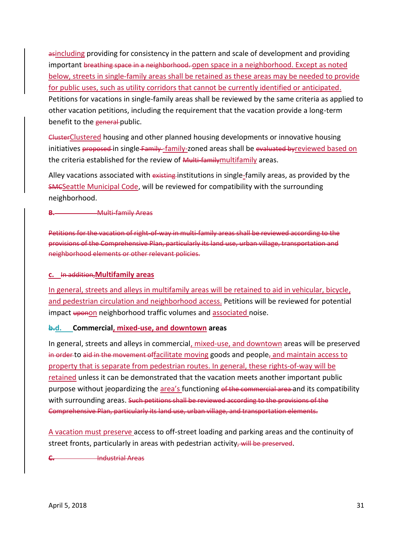asincluding providing for consistency in the pattern and scale of development and providing important breathing space in a neighborhood. open space in a neighborhood. Except as noted below, streets in single-family areas shall be retained as these areas may be needed to provide for public uses, such as utility corridors that cannot be currently identified or anticipated. Petitions for vacations in single-family areas shall be reviewed by the same criteria as applied to other vacation petitions, including the requirement that the vacation provide a long-term benefit to the general public.

ClusterClustered housing and other planned housing developments or innovative housing initiatives proposed in single Family-family-zoned areas shall be evaluated byreviewed based on the criteria established for the review of Multi-familymultifamily areas.

Alley vacations associated with existing institutions in single-family areas, as provided by the SMCSeattle Municipal Code, will be reviewed for compatibility with the surrounding neighborhood.

**B. Multi-family Areas** 

Petitions for the vacation of right-of-way in multi-family areas shall be reviewed according to the provisions of the Comprehensive Plan, particularly its land use, urban village, transportation and neighborhood elements or other relevant policies.

#### **c.** In addition,**Multifamily areas**

In general, streets and alleys in multifamily areas will be retained to aid in vehicular, bicycle, and pedestrian circulation and neighborhood access. Petitions will be reviewed for potential impact uponon neighborhood traffic volumes and associated noise.

#### **b.d. Commercial, mixed-use, and downtown areas**

In general, streets and alleys in commercial, mixed-use, and downtown areas will be preserved in order to aid in the movement offacilitate moving goods and people<sub>z</sub> and maintain access to property that is separate from pedestrian routes. In general, these rights-of-way will be retained unless it can be demonstrated that the vacation meets another important public purpose without jeopardizing the area's functioning of the commercial area and its compatibility with surrounding areas. Such petitions shall be reviewed according to the provisions of the Comprehensive Plan, particularly its land use, urban village, and transportation elements.

A vacation must preserve access to off-street loading and parking areas and the continuity of street fronts, particularly in areas with pedestrian activity, will be preserved.

**C.** Industrial Areas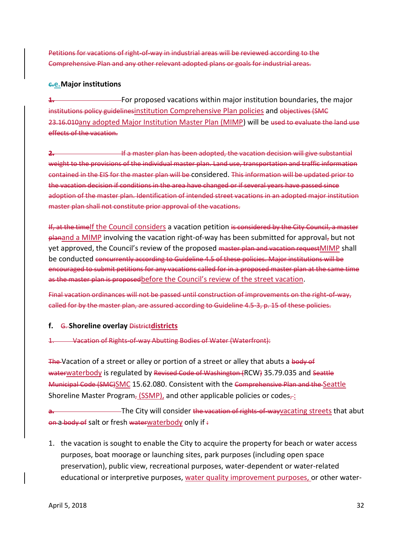Petitions for vacations of right-of-way in industrial areas will be reviewed according to the Comprehensive Plan and any other relevant adopted plans or goals for industrial areas.

#### **c.e.Major institutions**

**1.** For proposed vacations within major institution boundaries, the major institutions policy guidelines institution Comprehensive Plan policies and objectives (SMC 23.16.010any adopted Major Institution Master Plan (MIMP) will be used to evaluate the land use effects of the vacation.

**2. If a master plan has been adopted, the vacation decision will give substantial** weight to the provisions of the individual master plan. Land use, transportation and traffic information contained in the EIS for the master plan will be considered. This information will be updated prior to the vacation decision if conditions in the area have changed or if several years have passed since adoption of the master plan. Identification of intended street vacations in an adopted major institution master plan shall not constitute prior approval of the vacations.

If, at the timeIf the Council considers a vacation petition is considered by the City Council, a master planand a MIMP involving the vacation right-of-way has been submitted for approval, but not yet approved, the Council's review of the proposed master plan and vacation request MIMP shall be conducted concurrently according to Guideline 4.5 of these policies. Major institutions will be encouraged to submit petitions for any vacations called for in a proposed master plan at the same time as the master plan is proposed before the Council's review of the street vacation.

Final vacation ordinances will not be passed until construction of improvements on the right-of-way, called for by the master plan, are assured according to Guideline 4.5-3, p. 15 of these policies.

#### **f.** G. **Shoreline overlay** District**districts**

#### 1. Vacation of Rights-of-way Abutting Bodies of Water (Waterfront):

The Vacation of a street or alley or portion of a street or alley that abuts a body of waterwaterbody is regulated by Revised Code of Washington (RCW) 35.79.035 and Seattle Municipal Code (SMC)SMC 15.62.080. Consistent with the Comprehensive Plan and the Seattle Shoreline Master Program, (SSMP), and other applicable policies or codes $\pm$ :

**a.** The City will consider the vacation of rights-of-wayvacating streets that abut on a body of salt or fresh waterwaterbody only if :

1. the vacation is sought to enable the City to acquire the property for beach or water access purposes, boat moorage or launching sites, park purposes (including open space preservation), public view, recreational purposes, water-dependent or water-related educational or interpretive purposes, water quality improvement purposes, or other water-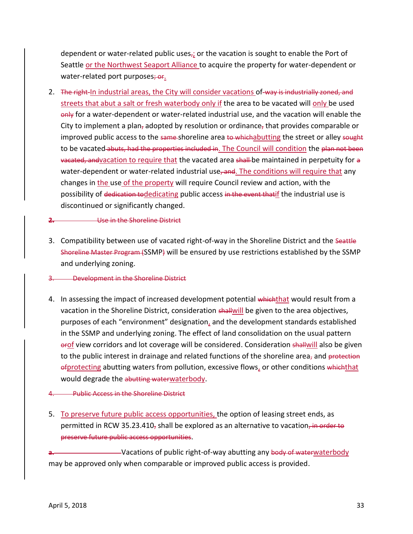dependent or water-related public uses<sub>r</sub>; or the vacation is sought to enable the Port of Seattle or the Northwest Seaport Alliance to acquire the property for water-dependent or water-related port purposes; or.

2. The right-In industrial areas, the City will consider vacations of-way is industrially zoned, and streets that abut a salt or fresh waterbody only if the area to be vacated will only be used only for a water-dependent or water-related industrial use, and the vacation will enable the City to implement a plan, adopted by resolution or ordinance, that provides comparable or improved public access to the same-shoreline area to whichabutting the street or alley sought to be vacated abuts, had the properties included in. The Council will condition the plan not been vacated, andvacation to require that the vacated area shall-be maintained in perpetuity for a water-dependent or water-related industrial use, and. The conditions will require that any changes in the use of the property will require Council review and action, with the possibility of dedication todedicating public access in the event thatif the industrial use is discontinued or significantly changed.

#### **2.** Use in the Shoreline District

3. Compatibility between use of vacated right-of-way in the Shoreline District and the Seattle Shoreline Master Program (SSMP) will be ensured by use restrictions established by the SSMP and underlying zoning.

#### 3. Development in the Shoreline District

4. In assessing the impact of increased development potential whichthat would result from a vacation in the Shoreline District, consideration shallwill be given to the area objectives, purposes of each "environment" designation, and the development standards established in the SSMP and underlying zoning. The effect of land consolidation on the usual pattern erof view corridors and lot coverage will be considered. Consideration shallwill also be given to the public interest in drainage and related functions of the shoreline area, and protection ofprotecting abutting waters from pollution, excessive flows, or other conditions whichthat would degrade the abutting waterwaterbody.

#### 4. Public Access in the Shoreline District

5. To preserve future public access opportunities, the option of leasing street ends, as permitted in RCW 35.23.410, shall be explored as an alternative to vacation, in order to preserve future public access opportunities.

-Vacations of public right-of-way abutting any body of waterwaterbody may be approved only when comparable or improved public access is provided.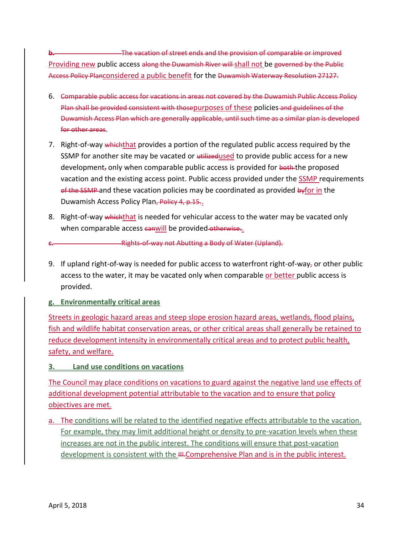**b.** The vacation of street ends and the provision of comparable or improved Providing new public access along the Duwamish River will shall not be governed by the Public Access Policy Planconsidered a public benefit for the Duwamish Waterway Resolution 27127.

- 6. Comparable public access for vacations in areas not covered by the Duwamish Public Access Policy Plan shall be provided consistent with thosepurposes of these policies-and guidelines of the Duwamish Access Plan which are generally applicable, until such time as a similar plan is developed for other areas.
- 7. Right-of-way whichthat provides a portion of the regulated public access required by the SSMP for another site may be vacated or utilizedused to provide public access for a new development<sub>r</sub> only when comparable public access is provided for  $\frac{1}{2}$  both the proposed vacation and the existing access point. Public access provided under the SSMP requirements of the SSMP and these vacation policies may be coordinated as provided byfor in the Duwamish Access Policy Plan, Policy 4, p.15..
- 8. Right-of-way which that is needed for vehicular access to the water may be vacated only when comparable access canwill be provided otherwise..
	- **c.** Rights-of-way not Abutting a Body of Water (Upland).
- 9. If upland right-of-way is needed for public access to waterfront right-of-way, or other public access to the water, it may be vacated only when comparable or better public access is provided.

# **g. Environmentally critical areas**

Streets in geologic hazard areas and steep slope erosion hazard areas, wetlands, flood plains, fish and wildlife habitat conservation areas, or other critical areas shall generally be retained to reduce development intensity in environmentally critical areas and to protect public health, safety, and welfare.

# **3. Land use conditions on vacations**

The Council may place conditions on vacations to guard against the negative land use effects of additional development potential attributable to the vacation and to ensure that policy objectives are met.

a. The conditions will be related to the identified negative effects attributable to the vacation. For example, they may limit additional height or density to pre-vacation levels when these increases are not in the public interest. The conditions will ensure that post-vacation development is consistent with the III.Comprehensive Plan and is in the public interest.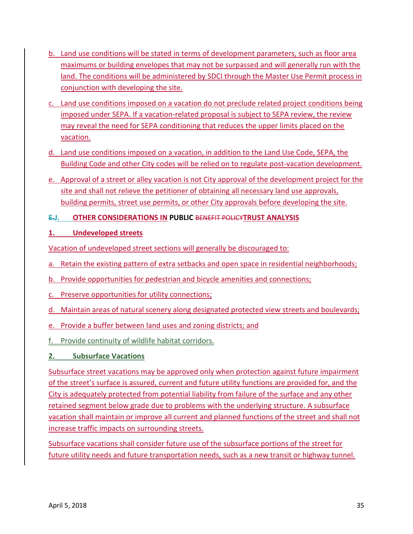- b. Land use conditions will be stated in terms of development parameters, such as floor area maximums or building envelopes that may not be surpassed and will generally run with the land. The conditions will be administered by SDCI through the Master Use Permit process in conjunction with developing the site.
- c. Land use conditions imposed on a vacation do not preclude related project conditions being imposed under SEPA. If a vacation-related proposal is subject to SEPA review, the review may reveal the need for SEPA conditioning that reduces the upper limits placed on the vacation.
- d. Land use conditions imposed on a vacation, in addition to the Land Use Code, SEPA, the Building Code and other City codes will be relied on to regulate post-vacation development.
- e. Approval of a street or alley vacation is not City approval of the development project for the site and shall not relieve the petitioner of obtaining all necessary land use approvals, building permits, street use permits, or other City approvals before developing the site.

# <span id="page-36-0"></span>**E.J. OTHER CONSIDERATIONS IN PUBLIC** BENEFIT POLICY**TRUST ANALYSIS**

# **1. Undeveloped streets**

Vacation of undeveloped street sections will generally be discouraged to:

- a. Retain the existing pattern of extra setbacks and open space in residential neighborhoods;
- b. Provide opportunities for pedestrian and bicycle amenities and connections;
- c. Preserve opportunities for utility connections;
- d. Maintain areas of natural scenery along designated protected view streets and boulevards;
- e. Provide a buffer between land uses and zoning districts; and
- f. Provide continuity of wildlife habitat corridors.

# **2. Subsurface Vacations**

Subsurface street vacations may be approved only when protection against future impairment of the street's surface is assured, current and future utility functions are provided for, and the City is adequately protected from potential liability from failure of the surface and any other retained segment below grade due to problems with the underlying structure. A subsurface vacation shall maintain or improve all current and planned functions of the street and shall not increase traffic impacts on surrounding streets.

Subsurface vacations shall consider future use of the subsurface portions of the street for future utility needs and future transportation needs, such as a new transit or highway tunnel.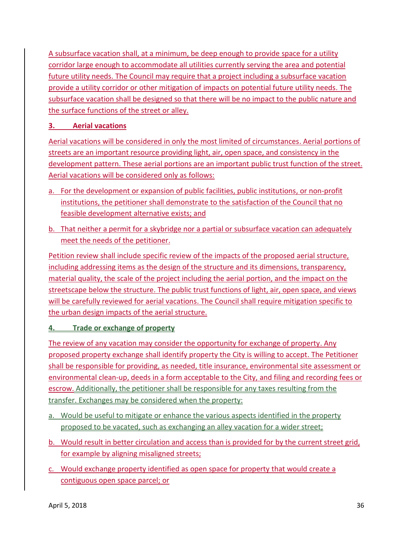A subsurface vacation shall, at a minimum, be deep enough to provide space for a utility corridor large enough to accommodate all utilities currently serving the area and potential future utility needs. The Council may require that a project including a subsurface vacation provide a utility corridor or other mitigation of impacts on potential future utility needs. The subsurface vacation shall be designed so that there will be no impact to the public nature and the surface functions of the street or alley.

# **3. Aerial vacations**

Aerial vacations will be considered in only the most limited of circumstances. Aerial portions of streets are an important resource providing light, air, open space, and consistency in the development pattern. These aerial portions are an important public trust function of the street. Aerial vacations will be considered only as follows:

- a. For the development or expansion of public facilities, public institutions, or non-profit institutions, the petitioner shall demonstrate to the satisfaction of the Council that no feasible development alternative exists; and
- b. That neither a permit for a skybridge nor a partial or subsurface vacation can adequately meet the needs of the petitioner.

Petition review shall include specific review of the impacts of the proposed aerial structure, including addressing items as the design of the structure and its dimensions, transparency, material quality, the scale of the project including the aerial portion, and the impact on the streetscape below the structure. The public trust functions of light, air, open space, and views will be carefully reviewed for aerial vacations. The Council shall require mitigation specific to the urban design impacts of the aerial structure.

# **4. Trade or exchange of property**

The review of any vacation may consider the opportunity for exchange of property. Any proposed property exchange shall identify property the City is willing to accept. The Petitioner shall be responsible for providing, as needed, title insurance, environmental site assessment or environmental clean-up, deeds in a form acceptable to the City, and filing and recording fees or escrow. Additionally, the petitioner shall be responsible for any taxes resulting from the transfer. Exchanges may be considered when the property:

- a. Would be useful to mitigate or enhance the various aspects identified in the property proposed to be vacated, such as exchanging an alley vacation for a wider street;
- b. Would result in better circulation and access than is provided for by the current street grid, for example by aligning misaligned streets;
- c. Would exchange property identified as open space for property that would create a contiguous open space parcel; or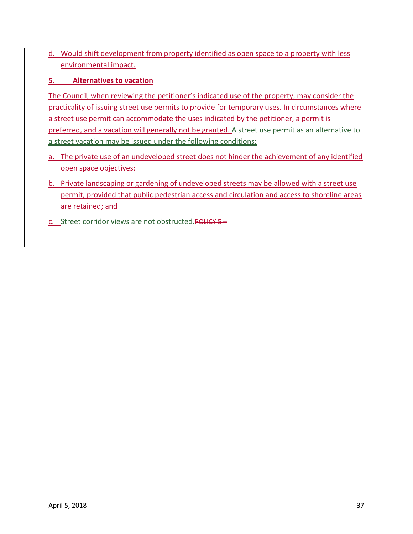d. Would shift development from property identified as open space to a property with less environmental impact.

# **5. Alternatives to vacation**

The Council, when reviewing the petitioner's indicated use of the property, may consider the practicality of issuing street use permits to provide for temporary uses. In circumstances where a street use permit can accommodate the uses indicated by the petitioner, a permit is preferred, and a vacation will generally not be granted. A street use permit as an alternative to a street vacation may be issued under the following conditions:

- a. The private use of an undeveloped street does not hinder the achievement of any identified open space objectives;
- b. Private landscaping or gardening of undeveloped streets may be allowed with a street use permit, provided that public pedestrian access and circulation and access to shoreline areas are retained; and
- c. Street corridor views are not obstructed.POLICY 5 –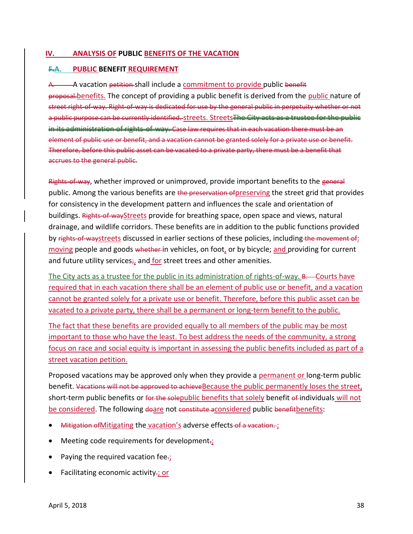#### <span id="page-39-0"></span>**IV. ANALYSIS OF PUBLIC BENEFITS OF THE VACATION**

#### <span id="page-39-1"></span>**F.A. PUBLIC BENEFIT REQUIREMENT**

A. A vacation petition-shall include a commitment to provide public benefit proposal.benefits. The concept of providing a public benefit is derived from the public nature of street right-of-way. Right-of-way is dedicated for use by the general public in perpetuity whether or not a public purpose can be currently identified. Streets. Streets The City acts as a trustee for the public in its administration of rights-of-way. Case law requires that in each vacation there must be an element of public use or benefit, and a vacation cannot be granted solely for a private use or benefit. Therefore, before this public asset can be vacated to a private party, there must be a benefit that accrues to the general public.

Rights-of-way, whether improved or unimproved, provide important benefits to the general public. Among the various benefits are the preservation of preserving the street grid that provides for consistency in the development pattern and influences the scale and orientation of buildings. Rights-of-wayStreets provide for breathing space, open space and views, natural drainage, and wildlife corridors. These benefits are in addition to the public functions provided by rights-of-waystreets discussed in earlier sections of these policies, including the movement of: moving people and goods whether in vehicles, on foot, or by bicycle; and providing for current and future utility services<sub>i</sub>, and for street trees and other amenities.

The City acts as a trustee for the public in its administration of rights-of-way. B. Courts have required that in each vacation there shall be an element of public use or benefit, and a vacation cannot be granted solely for a private use or benefit. Therefore, before this public asset can be vacated to a private party, there shall be a permanent or long-term benefit to the public.

The fact that these benefits are provided equally to all members of the public may be most important to those who have the least. To best address the needs of the community, a strong focus on race and social equity is important in assessing the public benefits included as part of a street vacation petition.

Proposed vacations may be approved only when they provide a permanent or long-term public benefit. Vacations will not be approved to achieve Because the public permanently loses the street, short-term public benefits or for the solepublic benefits that solely benefit of individuals will not be considered. The following doare not constitute aconsidered public benefitbenefits:

- Mitigation of Mitigating the vacation's adverse effects of a vacation.
- Meeting code requirements for development-
- Paying the required vacation fee $\div$ ;
- Facilitating economic activity.; or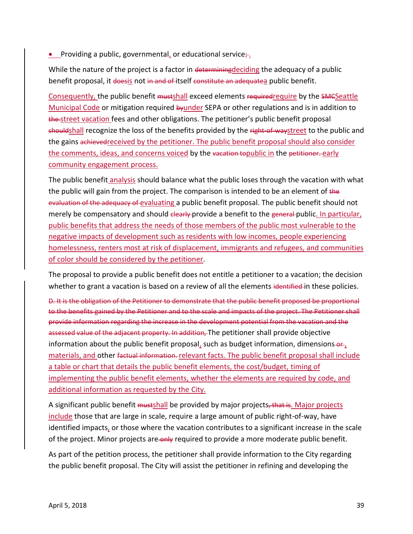**•** Providing a public, governmental, or educational service $\frac{1}{r}$ .

While the nature of the project is a factor in determining deciding the adequacy of a public benefit proposal, it doesis not in and of itself constitute an adequatea public benefit.

Consequently, the public benefit mustshall exceed elements requiredrequire by the SMCSeattle Municipal Code or mitigation required by under SEPA or other regulations and is in addition to the street vacation fees and other obligations. The petitioner's public benefit proposal shouldshall recognize the loss of the benefits provided by the right-of-waystreet to the public and the gains achieved received by the petitioner. The public benefit proposal should also consider the comments, ideas, and concerns voiced by the vacation topublic in the petitioner. early community engagement process.

The public benefit analysis should balance what the public loses through the vacation with what the public will gain from the project. The comparison is intended to be an element of the evaluation of the adequacy of evaluating a public benefit proposal. The public benefit should not merely be compensatory and should clearly provide a benefit to the general public. In particular, public benefits that address the needs of those members of the public most vulnerable to the negative impacts of development such as residents with low incomes, people experiencing homelessness, renters most at risk of displacement, immigrants and refugees, and communities of color should be considered by the petitioner.

The proposal to provide a public benefit does not entitle a petitioner to a vacation; the decision whether to grant a vacation is based on a review of all the elements identified in these policies.

D. It is the obligation of the Petitioner to demonstrate that the public benefit proposed be proportional to the benefits gained by the Petitioner and to the scale and impacts of the project. The Petitioner shall provide information regarding the increase in the development potential from the vacation and the assessed value of the adjacent property. In addition, The petitioner shall provide objective information about the public benefit proposal, such as budget information, dimensions- $\theta_{t}$ materials, and other factual information. relevant facts. The public benefit proposal shall include a table or chart that details the public benefit elements, the cost/budget, timing of implementing the public benefit elements, whether the elements are required by code, and additional information as requested by the City.

A significant public benefit mustshall be provided by major projects, that is. Major projects include those that are large in scale, require a large amount of public right-of-way, have identified impacts, or those where the vacation contributes to a significant increase in the scale of the project. Minor projects are only required to provide a more moderate public benefit.

As part of the petition process, the petitioner shall provide information to the City regarding the public benefit proposal. The City will assist the petitioner in refining and developing the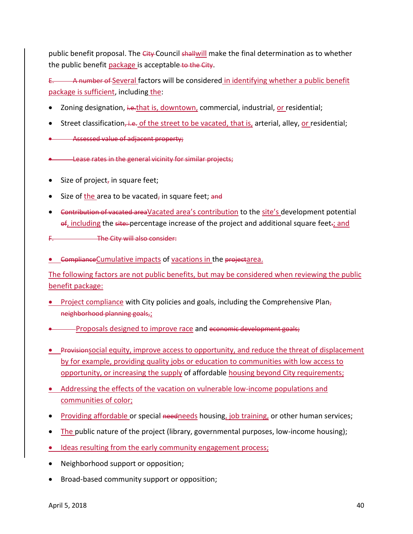public benefit proposal. The City Council shallwill make the final determination as to whether the public benefit package is acceptable to the City.

E. A number of Several factors will be considered in identifying whether a public benefit package is sufficient, including the:

- Zoning designation, ive.that is, downtown, commercial, industrial, or residential;
- Street classification, i.e. of the street to be vacated, that is, arterial, alley, or residential;
- Assessed value of adjacent property;

**.** Lease rates in the general vicinity for similar projects;

- Size of project, in square feet;
- $\bullet$  Size of the area to be vacated, in square feet; and
- Contribution of vacated areaVacated area's contribution to the site's development potential of, including the site: percentage increase of the project and additional square feet.; and
- The City will also consider:
- **.** ComplianceCumulative impacts of vacations in the projectarea.

The following factors are not public benefits, but may be considered when reviewing the public benefit package:

- Project compliance with City policies and goals, including the Comprehensive Plan, neighborhood planning goals,;
- Proposals designed to improve race and economic development goals;
- Provisionsocial equity, improve access to opportunity, and reduce the threat of displacement by for example, providing quality jobs or education to communities with low access to opportunity, or increasing the supply of affordable housing beyond City requirements;
- Addressing the effects of the vacation on vulnerable low-income populations and communities of color;
- Providing affordable or special needneeds housing, job training, or other human services;
- The public nature of the project (library, governmental purposes, low-income housing);
- Ideas resulting from the early community engagement process;
- Neighborhood support or opposition;
- Broad-based community support or opposition;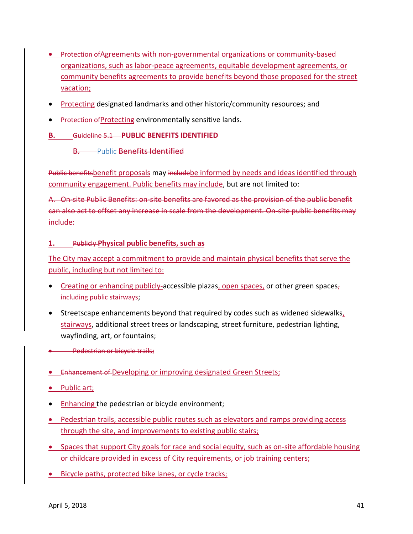- Protection of Agreements with non-governmental organizations or community-based organizations, such as labor-peace agreements, equitable development agreements, or community benefits agreements to provide benefits beyond those proposed for the street vacation;
- Protecting designated landmarks and other historic/community resources; and
- Protection of Protecting environmentally sensitive lands.

#### <span id="page-42-0"></span>**B.** Guideline 5.1 **PUBLIC BENEFITS IDENTIFIED**

#### **B.** Public **Benefits Identified**

Public benefitsbenefit proposals may includebe informed by needs and ideas identified through community engagement. Public benefits may include, but are not limited to:

A. On-site Public Benefits: on-site benefits are favored as the provision of the public benefit can also act to offset any increase in scale from the development. On-site public benefits may include:

#### **1.** Publicly **Physical public benefits, such as**

The City may accept a commitment to provide and maintain physical benefits that serve the public, including but not limited to:

- Creating or enhancing publicly-accessible plazas, open spaces, or other green spaces, including public stairways;
- Streetscape enhancements beyond that required by codes such as widened sidewalks, stairways, additional street trees or landscaping, street furniture, pedestrian lighting, wayfinding, art, or fountains;
- **Pedestrian or bicycle trails;**
- Enhancement of Developing or improving designated Green Streets;
- Public art;
- Enhancing the pedestrian or bicycle environment;
- Pedestrian trails, accessible public routes such as elevators and ramps providing access through the site, and improvements to existing public stairs;
- Spaces that support City goals for race and social equity, such as on-site affordable housing or childcare provided in excess of City requirements, or job training centers;
- Bicycle paths, protected bike lanes, or cycle tracks;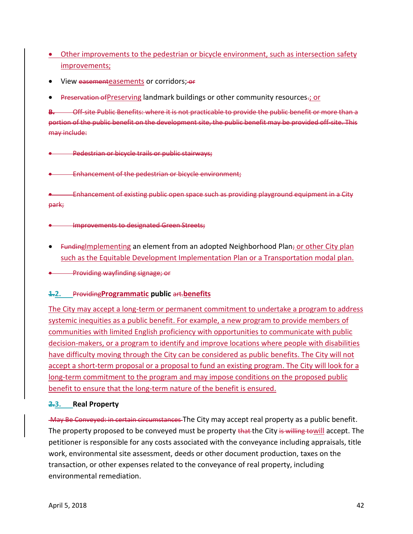- Other improvements to the pedestrian or bicycle environment, such as intersection safety improvements;
- View easementeasements or corridors; or
- **Preservation of Preserving landmark buildings or other community resources.; or**

**B.** Off-site Public Benefits: where it is not practicable to provide the public benefit or more than a portion of the public benefit on the development site, the public benefit may be provided off-site. This may include:

Pedestrian or bicycle trails or public stairways;

Enhancement of the pedestrian or bicycle environment;

 Enhancement of existing public open space such as providing playground equipment in a City park;

**Improvements to designated Green Streets;** 

**•** Funding Implementing an element from an adopted Neighborhood Plan; or other City plan such as the Equitable Development Implementation Plan or a Transportation modal plan.

Providing wayfinding signage; or

#### **1.2.** Providing**Programmatic public** art.**benefits**

The City may accept a long-term or permanent commitment to undertake a program to address systemic inequities as a public benefit. For example, a new program to provide members of communities with limited English proficiency with opportunities to communicate with public decision-makers, or a program to identify and improve locations where people with disabilities have difficulty moving through the City can be considered as public benefits. The City will not accept a short-term proposal or a proposal to fund an existing program. The City will look for a long-term commitment to the program and may impose conditions on the proposed public benefit to ensure that the long-term nature of the benefit is ensured.

#### **2.3. Real Property**

May Be Conveyed: in certain circumstances The City may accept real property as a public benefit. The property proposed to be conveyed must be property that the City is willing towill accept. The petitioner is responsible for any costs associated with the conveyance including appraisals, title work, environmental site assessment, deeds or other document production, taxes on the transaction, or other expenses related to the conveyance of real property, including environmental remediation.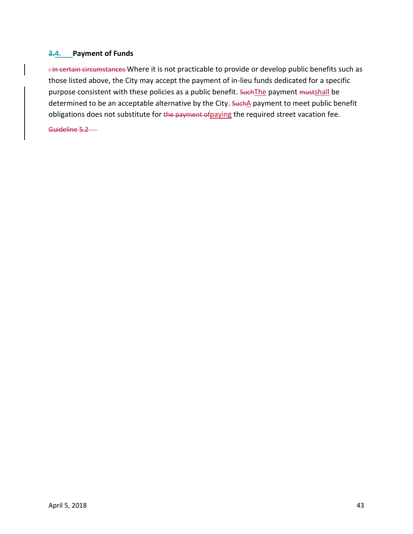### **3.4. Payment of Funds**

: in certain circumstances Where it is not practicable to provide or develop public benefits such as those listed above, the City may accept the payment of in-lieu funds dedicated for a specific purpose consistent with these policies as a public benefit. Such The payment mustshall be determined to be an acceptable alternative by the City. SuchA payment to meet public benefit obligations does not substitute for the payment of paying the required street vacation fee.

Guideline 5.2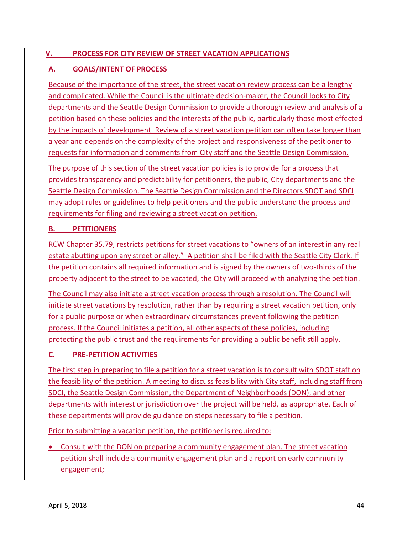# <span id="page-45-0"></span>**V. PROCESS FOR CITY REVIEW OF STREET VACATION APPLICATIONS**

# <span id="page-45-1"></span>**A. GOALS/INTENT OF PROCESS**

Because of the importance of the street, the street vacation review process can be a lengthy and complicated. While the Council is the ultimate decision-maker, the Council looks to City departments and the Seattle Design Commission to provide a thorough review and analysis of a petition based on these policies and the interests of the public, particularly those most effected by the impacts of development. Review of a street vacation petition can often take longer than a year and depends on the complexity of the project and responsiveness of the petitioner to requests for information and comments from City staff and the Seattle Design Commission.

The purpose of this section of the street vacation policies is to provide for a process that provides transparency and predictability for petitioners, the public, City departments and the Seattle Design Commission. The Seattle Design Commission and the Directors SDOT and SDCI may adopt rules or guidelines to help petitioners and the public understand the process and requirements for filing and reviewing a street vacation petition.

#### <span id="page-45-2"></span>**B. PETITIONERS**

RCW Chapter 35.79, restricts petitions for street vacations to "owners of an interest in any real estate abutting upon any street or alley." A petition shall be filed with the Seattle City Clerk. If the petition contains all required information and is signed by the owners of two-thirds of the property adjacent to the street to be vacated, the City will proceed with analyzing the petition.

The Council may also initiate a street vacation process through a resolution. The Council will initiate street vacations by resolution, rather than by requiring a street vacation petition, only for a public purpose or when extraordinary circumstances prevent following the petition process. If the Council initiates a petition, all other aspects of these policies, including protecting the public trust and the requirements for providing a public benefit still apply.

#### <span id="page-45-3"></span>**C. PRE-PETITION ACTIVITIES**

The first step in preparing to file a petition for a street vacation is to consult with SDOT staff on the feasibility of the petition. A meeting to discuss feasibility with City staff, including staff from SDCI, the Seattle Design Commission, the Department of Neighborhoods (DON), and other departments with interest or jurisdiction over the project will be held, as appropriate. Each of these departments will provide guidance on steps necessary to file a petition.

Prior to submitting a vacation petition, the petitioner is required to:

 Consult with the DON on preparing a community engagement plan. The street vacation petition shall include a community engagement plan and a report on early community engagement;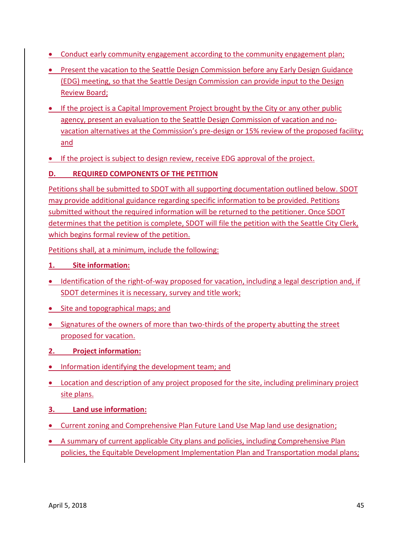- Conduct early community engagement according to the community engagement plan;
- Present the vacation to the Seattle Design Commission before any Early Design Guidance (EDG) meeting, so that the Seattle Design Commission can provide input to the Design Review Board;
- If the project is a Capital Improvement Project brought by the City or any other public agency, present an evaluation to the Seattle Design Commission of vacation and novacation alternatives at the Commission's pre-design or 15% review of the proposed facility; and
- If the project is subject to design review, receive EDG approval of the project.

# <span id="page-46-0"></span>**D. REQUIRED COMPONENTS OF THE PETITION**

Petitions shall be submitted to SDOT with all supporting documentation outlined below. SDOT may provide additional guidance regarding specific information to be provided. Petitions submitted without the required information will be returned to the petitioner. Once SDOT determines that the petition is complete, SDOT will file the petition with the Seattle City Clerk, which begins formal review of the petition.

Petitions shall, at a minimum, include the following:

- **1. Site information:**
- Identification of the right-of-way proposed for vacation, including a legal description and, if SDOT determines it is necessary, survey and title work;
- Site and topographical maps; and
- Signatures of the owners of more than two-thirds of the property abutting the street proposed for vacation.
- **2. Project information:**
- **.** Information identifying the development team; and
- Location and description of any project proposed for the site, including preliminary project site plans.
- **3. Land use information:**
- Current zoning and Comprehensive Plan Future Land Use Map land use designation;
- A summary of current applicable City plans and policies, including Comprehensive Plan policies, the Equitable Development Implementation Plan and Transportation modal plans;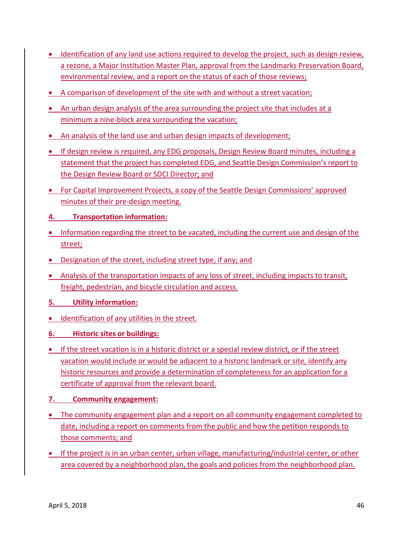- Identification of any land use actions required to develop the project, such as design review, a rezone, a Major Institution Master Plan, approval from the Landmarks Preservation Board, environmental review, and a report on the status of each of those reviews;
- A comparison of development of the site with and without a street vacation;
- An urban design analysis of the area surrounding the project site that includes at a minimum a nine-block area surrounding the vacation;
- An analysis of the land use and urban design impacts of development;
- **If design review is required, any EDG proposals, Design Review Board minutes, including a** statement that the project has completed EDG, and Seattle Design Commission's report to the Design Review Board or SDCI Director; and
- For Capital Improvement Projects, a copy of the Seattle Design Commissions' approved minutes of their pre-design meeting.

# **4. Transportation information:**

- Information regarding the street to be vacated, including the current use and design of the street;
- Designation of the street, including street type, if any; and
- Analysis of the transportation impacts of any loss of street, including impacts to transit, freight, pedestrian, and bicycle circulation and access.
- **5. Utility information:**
- **IDENTIFICATION OF ANY UTILITIES IN the street.**
- **6. Historic sites or buildings:**
- If the street vacation is in a historic district or a special review district, or if the street vacation would include or would be adjacent to a historic landmark or site, identify any historic resources and provide a determination of completeness for an application for a certificate of approval from the relevant board.
- **7. Community engagement:**
- The community engagement plan and a report on all community engagement completed to date, including a report on comments from the public and how the petition responds to those comments; and
- If the project is in an urban center, urban village, manufacturing/industrial center, or other area covered by a neighborhood plan, the goals and policies from the neighborhood plan.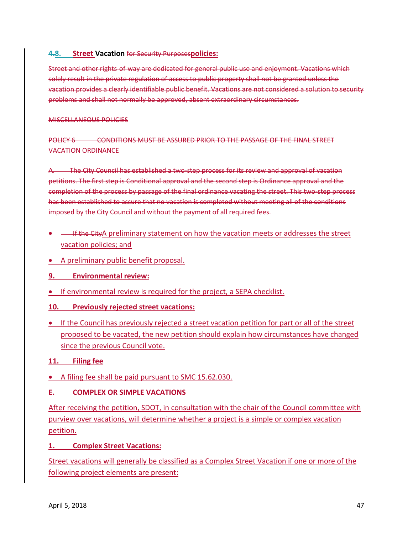#### **4.8. Street Vacation** for Security Purposes**policies:**

Street and other rights-of-way are dedicated for general public use and enjoyment. Vacations which solely result in the private regulation of access to public property shall not be granted unless the vacation provides a clearly identifiable public benefit. Vacations are not considered a solution to security problems and shall not normally be approved, absent extraordinary circumstances.

#### MISCELLANEOUS POLICIES

POLICY 6 CONDITIONS MUST BE ASSURED PRIOR TO THE PASSAGE OF THE FINAL STREET VACATION ORDINANCE

A. The City Council has established a two-step process for its review and approval of vacation petitions. The first step is Conditional approval and the second step is Ordinance approval and the completion of the process by passage of the final ordinance vacating the street. This two-step process has been established to assure that no vacation is completed without meeting all of the conditions imposed by the City Council and without the payment of all required fees.

- **If the CityA preliminary statement on how the vacation meets or addresses the street** vacation policies; and
- A preliminary public benefit proposal.
- **9. Environmental review:**
- **If environmental review is required for the project, a SEPA checklist.**
- **10. Previously rejected street vacations:**
- If the Council has previously rejected a street vacation petition for part or all of the street proposed to be vacated, the new petition should explain how circumstances have changed since the previous Council vote.

#### **11. Filing fee**

A filing fee shall be paid pursuant to SMC 15.62.030.

#### <span id="page-48-0"></span>**E. COMPLEX OR SIMPLE VACATIONS**

After receiving the petition, SDOT, in consultation with the chair of the Council committee with purview over vacations, will determine whether a project is a simple or complex vacation petition.

**1. Complex Street Vacations:**

Street vacations will generally be classified as a Complex Street Vacation if one or more of the following project elements are present: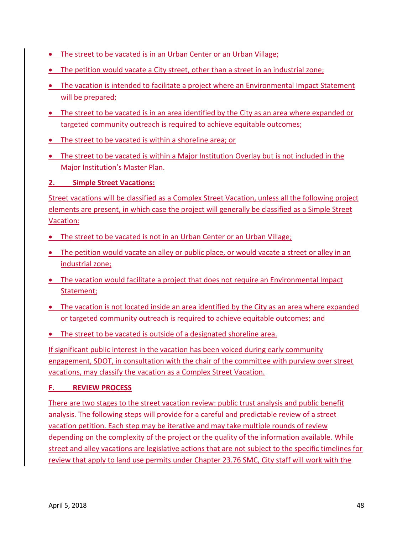- The street to be vacated is in an Urban Center or an Urban Village;
- The petition would vacate a City street, other than a street in an industrial zone;
- The vacation is intended to facilitate a project where an Environmental Impact Statement will be prepared;
- The street to be vacated is in an area identified by the City as an area where expanded or targeted community outreach is required to achieve equitable outcomes;
- The street to be vacated is within a shoreline area; or
- The street to be vacated is within a Major Institution Overlay but is not included in the Major Institution's Master Plan.

**2. Simple Street Vacations:**

Street vacations will be classified as a Complex Street Vacation, unless all the following project elements are present, in which case the project will generally be classified as a Simple Street Vacation:

- The street to be vacated is not in an Urban Center or an Urban Village;
- The petition would vacate an alley or public place, or would vacate a street or alley in an industrial zone;
- The vacation would facilitate a project that does not require an Environmental Impact Statement;
- The vacation is not located inside an area identified by the City as an area where expanded or targeted community outreach is required to achieve equitable outcomes; and
- The street to be vacated is outside of a designated shoreline area.

If significant public interest in the vacation has been voiced during early community engagement, SDOT, in consultation with the chair of the committee with purview over street vacations, may classify the vacation as a Complex Street Vacation.

# <span id="page-49-0"></span>**F. REVIEW PROCESS**

There are two stages to the street vacation review: public trust analysis and public benefit analysis. The following steps will provide for a careful and predictable review of a street vacation petition. Each step may be iterative and may take multiple rounds of review depending on the complexity of the project or the quality of the information available. While street and alley vacations are legislative actions that are not subject to the specific timelines for review that apply to land use permits under Chapter 23.76 SMC, City staff will work with the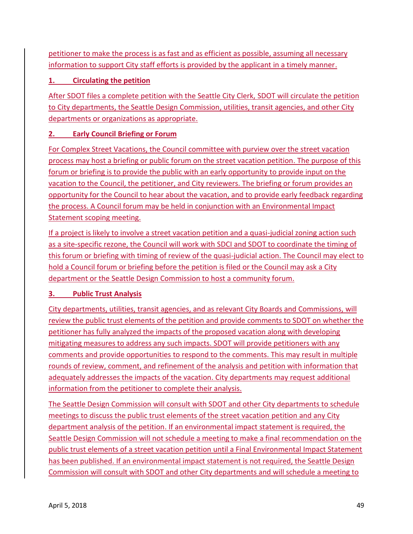petitioner to make the process is as fast and as efficient as possible, assuming all necessary information to support City staff efforts is provided by the applicant in a timely manner.

# **1. Circulating the petition**

After SDOT files a complete petition with the Seattle City Clerk, SDOT will circulate the petition to City departments, the Seattle Design Commission, utilities, transit agencies, and other City departments or organizations as appropriate.

# **2. Early Council Briefing or Forum**

For Complex Street Vacations, the Council committee with purview over the street vacation process may host a briefing or public forum on the street vacation petition. The purpose of this forum or briefing is to provide the public with an early opportunity to provide input on the vacation to the Council, the petitioner, and City reviewers. The briefing or forum provides an opportunity for the Council to hear about the vacation, and to provide early feedback regarding the process. A Council forum may be held in conjunction with an Environmental Impact Statement scoping meeting.

If a project is likely to involve a street vacation petition and a quasi-judicial zoning action such as a site-specific rezone, the Council will work with SDCI and SDOT to coordinate the timing of this forum or briefing with timing of review of the quasi-judicial action. The Council may elect to hold a Council forum or briefing before the petition is filed or the Council may ask a City department or the Seattle Design Commission to host a community forum.

# **3. Public Trust Analysis**

City departments, utilities, transit agencies, and as relevant City Boards and Commissions, will review the public trust elements of the petition and provide comments to SDOT on whether the petitioner has fully analyzed the impacts of the proposed vacation along with developing mitigating measures to address any such impacts. SDOT will provide petitioners with any comments and provide opportunities to respond to the comments. This may result in multiple rounds of review, comment, and refinement of the analysis and petition with information that adequately addresses the impacts of the vacation. City departments may request additional information from the petitioner to complete their analysis.

The Seattle Design Commission will consult with SDOT and other City departments to schedule meetings to discuss the public trust elements of the street vacation petition and any City department analysis of the petition. If an environmental impact statement is required, the Seattle Design Commission will not schedule a meeting to make a final recommendation on the public trust elements of a street vacation petition until a Final Environmental Impact Statement has been published. If an environmental impact statement is not required, the Seattle Design Commission will consult with SDOT and other City departments and will schedule a meeting to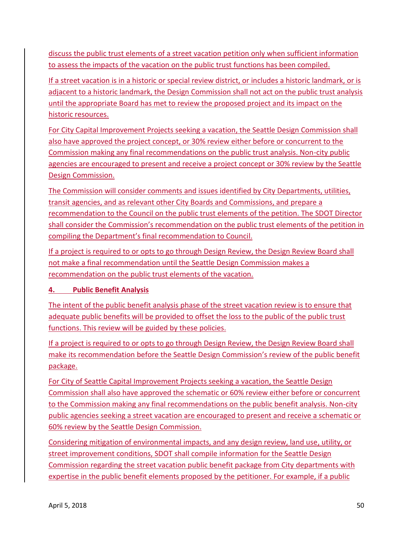discuss the public trust elements of a street vacation petition only when sufficient information to assess the impacts of the vacation on the public trust functions has been compiled.

If a street vacation is in a historic or special review district, or includes a historic landmark, or is adjacent to a historic landmark, the Design Commission shall not act on the public trust analysis until the appropriate Board has met to review the proposed project and its impact on the historic resources.

For City Capital Improvement Projects seeking a vacation, the Seattle Design Commission shall also have approved the project concept, or 30% review either before or concurrent to the Commission making any final recommendations on the public trust analysis. Non-city public agencies are encouraged to present and receive a project concept or 30% review by the Seattle Design Commission.

The Commission will consider comments and issues identified by City Departments, utilities, transit agencies, and as relevant other City Boards and Commissions, and prepare a recommendation to the Council on the public trust elements of the petition. The SDOT Director shall consider the Commission's recommendation on the public trust elements of the petition in compiling the Department's final recommendation to Council.

If a project is required to or opts to go through Design Review, the Design Review Board shall not make a final recommendation until the Seattle Design Commission makes a recommendation on the public trust elements of the vacation.

# **4. Public Benefit Analysis**

The intent of the public benefit analysis phase of the street vacation review is to ensure that adequate public benefits will be provided to offset the loss to the public of the public trust functions. This review will be guided by these policies.

If a project is required to or opts to go through Design Review, the Design Review Board shall make its recommendation before the Seattle Design Commission's review of the public benefit package.

For City of Seattle Capital Improvement Projects seeking a vacation, the Seattle Design Commission shall also have approved the schematic or 60% review either before or concurrent to the Commission making any final recommendations on the public benefit analysis. Non-city public agencies seeking a street vacation are encouraged to present and receive a schematic or 60% review by the Seattle Design Commission.

Considering mitigation of environmental impacts, and any design review, land use, utility, or street improvement conditions, SDOT shall compile information for the Seattle Design Commission regarding the street vacation public benefit package from City departments with expertise in the public benefit elements proposed by the petitioner. For example, if a public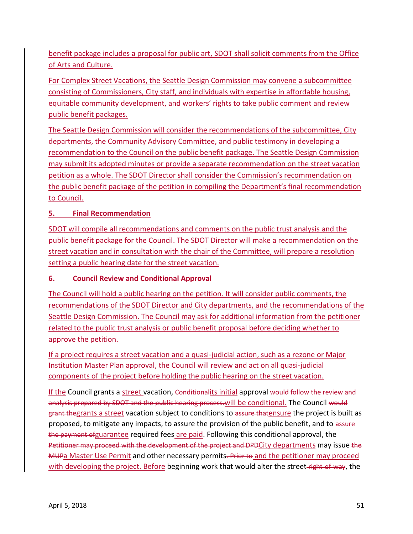benefit package includes a proposal for public art, SDOT shall solicit comments from the Office of Arts and Culture.

For Complex Street Vacations, the Seattle Design Commission may convene a subcommittee consisting of Commissioners, City staff, and individuals with expertise in affordable housing, equitable community development, and workers' rights to take public comment and review public benefit packages.

The Seattle Design Commission will consider the recommendations of the subcommittee, City departments, the Community Advisory Committee, and public testimony in developing a recommendation to the Council on the public benefit package. The Seattle Design Commission may submit its adopted minutes or provide a separate recommendation on the street vacation petition as a whole. The SDOT Director shall consider the Commission's recommendation on the public benefit package of the petition in compiling the Department's final recommendation to Council.

# **5. Final Recommendation**

SDOT will compile all recommendations and comments on the public trust analysis and the public benefit package for the Council. The SDOT Director will make a recommendation on the street vacation and in consultation with the chair of the Committee, will prepare a resolution setting a public hearing date for the street vacation.

# **6. Council Review and Conditional Approval**

The Council will hold a public hearing on the petition. It will consider public comments, the recommendations of the SDOT Director and City departments, and the recommendations of the Seattle Design Commission. The Council may ask for additional information from the petitioner related to the public trust analysis or public benefit proposal before deciding whether to approve the petition.

If a project requires a street vacation and a quasi-judicial action, such as a rezone or Major Institution Master Plan approval, the Council will review and act on all quasi-judicial components of the project before holding the public hearing on the street vacation.

If the Council grants a street vacation, Conditionalits initial approval would follow the review and analysis prepared by SDOT and the public hearing process. will be conditional. The Council would grant thegrants a street vacation subject to conditions to assure thatensure the project is built as proposed, to mitigate any impacts, to assure the provision of the public benefit, and to assure the payment ofguarantee required fees are paid. Following this conditional approval, the Petitioner may proceed with the development of the project and DPDCity departments may issue the MUPa Master Use Permit and other necessary permits. Prior to and the petitioner may proceed with developing the project. Before beginning work that would alter the street right-of-way, the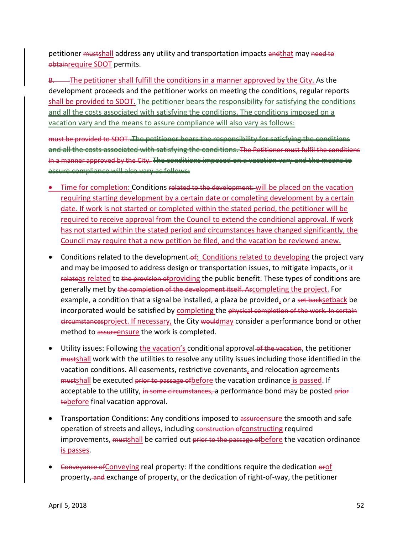petitioner mustshall address any utility and transportation impacts andthat may need to obtainrequire SDOT permits.

B. The petitioner shall fulfill the conditions in a manner approved by the City. As the development proceeds and the petitioner works on meeting the conditions, regular reports shall be provided to SDOT. The petitioner bears the responsibility for satisfying the conditions and all the costs associated with satisfying the conditions. The conditions imposed on a vacation vary and the means to assure compliance will also vary as follows:

must be provided to SDOT. The petitioner bears the responsibility for satisfying the conditions and all the costs associated with satisfying the conditions. The Petitioner must fulfil the conditions in a manner approved by the City. The conditions imposed on a vacation vary and the means to assure compliance will also vary as follows:

- Time for completion: Conditions related to the development: will be placed on the vacation requiring starting development by a certain date or completing development by a certain date. If work is not started or completed within the stated period, the petitioner will be required to receive approval from the Council to extend the conditional approval. If work has not started within the stated period and circumstances have changed significantly, the Council may require that a new petition be filed, and the vacation be reviewed anew.
- Conditions related to the development of: Conditions related to developing the project vary and may be imposed to address design or transportation issues, to mitigate impacts, or  $\#$ relateas related to the provision of providing the public benefit. These types of conditions are generally met by the completion of the development itself. Ascompleting the project. For example, a condition that a signal be installed, a plaza be provided, or a set backsetback be incorporated would be satisfied by completing the physical completion of the work. In certain circumstancesproject. If necessary, the City wouldmay consider a performance bond or other method to assureensure the work is completed.
- Utility issues: Following the vacation's conditional approval of the vacation, the petitioner mustshall work with the utilities to resolve any utility issues including those identified in the vacation conditions. All easements, restrictive covenants, and relocation agreements mustshall be executed prior to passage of before the vacation ordinance is passed. If acceptable to the utility, in some circumstances, a performance bond may be posted prior tobefore final vacation approval.
- Transportation Conditions: Any conditions imposed to assureensure the smooth and safe operation of streets and alleys, including construction of constructing required improvements, mustshall be carried out prior to the passage of before the vacation ordinance is passes.
- Conveyance of Conveying real property: If the conditions require the dedication orof property, and exchange of property, or the dedication of right-of-way, the petitioner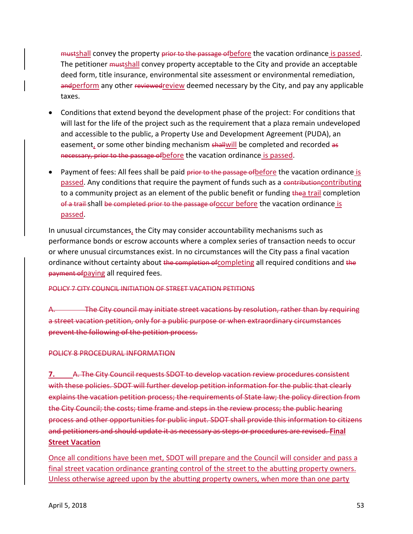mustshall convey the property prior to the passage of before the vacation ordinance is passed. The petitioner mustshall convey property acceptable to the City and provide an acceptable deed form, title insurance, environmental site assessment or environmental remediation, andperform any other reviewedreview deemed necessary by the City, and pay any applicable taxes.

- Conditions that extend beyond the development phase of the project: For conditions that will last for the life of the project such as the requirement that a plaza remain undeveloped and accessible to the public, a Property Use and Development Agreement (PUDA), an easement, or some other binding mechanism shallwill be completed and recorded as necessary, prior to the passage of before the vacation ordinance is passed.
- Payment of fees: All fees shall be paid prior to the passage of before the vacation ordinance is passed. Any conditions that require the payment of funds such as a contributioncontributing to a community project as an element of the public benefit or funding thea trail completion of a trail shall be completed prior to the passage ofoccur before the vacation ordinance is passed.

In unusual circumstances, the City may consider accountability mechanisms such as performance bonds or escrow accounts where a complex series of transaction needs to occur or where unusual circumstances exist. In no circumstances will the City pass a final vacation ordinance without certainty about the completion of completing all required conditions and the payment ofpaying all required fees.

#### POLICY 7 CITY COUNCIL INITIATION OF STREET VACATION PETITIONS

The City council may initiate street vacations by resolution, rather than by requiring a street vacation petition, only for a public purpose or when extraordinary circumstances prevent the following of the petition process.

#### POLICY 8 PROCEDURAL INFORMATION

**7.** A. The City Council requests SDOT to develop vacation review procedures consistent with these policies. SDOT will further develop petition information for the public that clearly explains the vacation petition process; the requirements of State law; the policy direction from the City Council; the costs; time frame and steps in the review process; the public hearing process and other opportunities for public input. SDOT shall provide this information to citizens and petitioners and should update it as necessary as steps or procedures are revised. **Final Street Vacation**

Once all conditions have been met, SDOT will prepare and the Council will consider and pass a final street vacation ordinance granting control of the street to the abutting property owners. Unless otherwise agreed upon by the abutting property owners, when more than one party